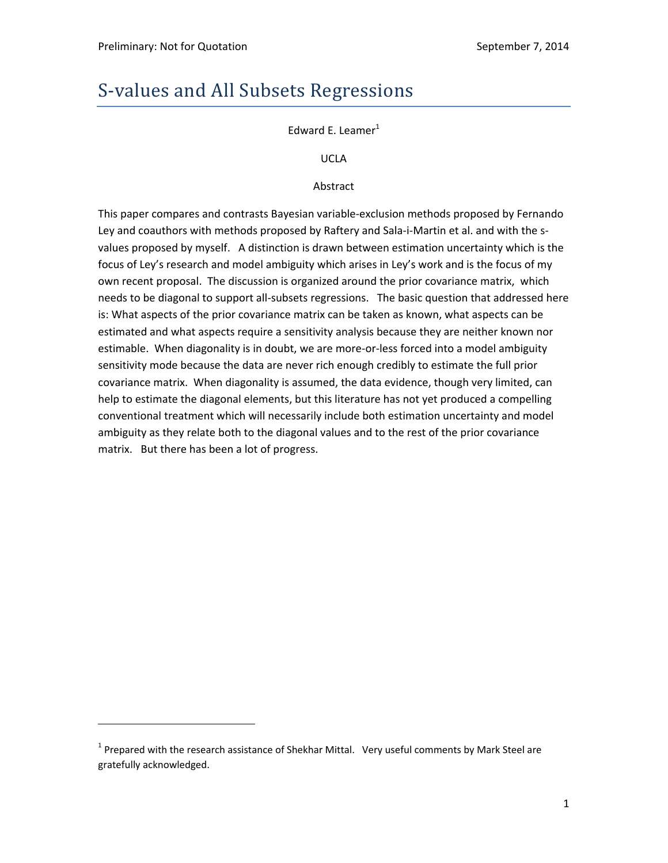# S-values and All Subsets Regressions

Edward E. Leamer $<sup>1</sup>$ </sup>

UCLA

Abstract

This paper compares and contrasts Bayesian variable‐exclusion methods proposed by Fernando Ley and coauthors with methods proposed by Raftery and Sala-i-Martin et al. and with the svalues proposed by myself. A distinction is drawn between estimation uncertainty which is the focus of Ley's research and model ambiguity which arises in Ley's work and is the focus of my own recent proposal. The discussion is organized around the prior covariance matrix, which needs to be diagonal to support all‐subsets regressions. The basic question that addressed here is: What aspects of the prior covariance matrix can be taken as known, what aspects can be estimated and what aspects require a sensitivity analysis because they are neither known nor estimable. When diagonality is in doubt, we are more-or-less forced into a model ambiguity sensitivity mode because the data are never rich enough credibly to estimate the full prior covariance matrix. When diagonality is assumed, the data evidence, though very limited, can help to estimate the diagonal elements, but this literature has not yet produced a compelling conventional treatment which will necessarily include both estimation uncertainty and model ambiguity as they relate both to the diagonal values and to the rest of the prior covariance matrix. But there has been a lot of progress.

 $1$  Prepared with the research assistance of Shekhar Mittal. Very useful comments by Mark Steel are gratefully acknowledged.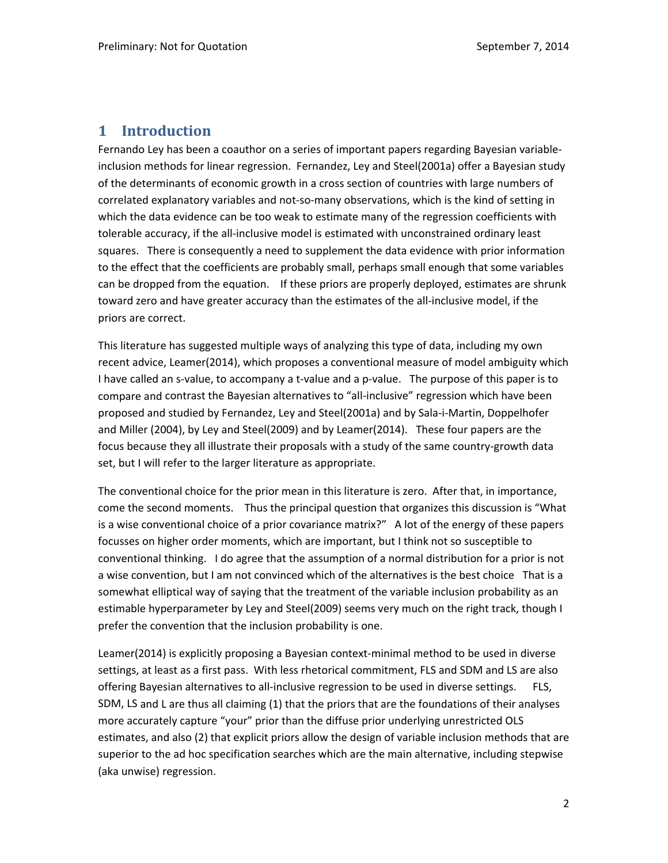# **1 Introduction**

Fernando Ley has been a coauthor on a series of important papers regarding Bayesian variable‐ inclusion methods for linear regression. Fernandez, Ley and Steel(2001a) offer a Bayesian study of the determinants of economic growth in a cross section of countries with large numbers of correlated explanatory variables and not-so-many observations, which is the kind of setting in which the data evidence can be too weak to estimate many of the regression coefficients with tolerable accuracy, if the all‐inclusive model is estimated with unconstrained ordinary least squares. There is consequently a need to supplement the data evidence with prior information to the effect that the coefficients are probably small, perhaps small enough that some variables can be dropped from the equation. If these priors are properly deployed, estimates are shrunk toward zero and have greater accuracy than the estimates of the all‐inclusive model, if the priors are correct.

This literature has suggested multiple ways of analyzing this type of data, including my own recent advice, Leamer(2014), which proposes a conventional measure of model ambiguity which I have called an s-value, to accompany a t-value and a p-value. The purpose of this paper is to compare and contrast the Bayesian alternatives to "all-inclusive" regression which have been proposed and studied by Fernandez, Ley and Steel(2001a) and by Sala‐i‐Martin, Doppelhofer and Miller (2004), by Ley and Steel(2009) and by Leamer(2014). These four papers are the focus because they all illustrate their proposals with a study of the same country‐growth data set, but I will refer to the larger literature as appropriate.

The conventional choice for the prior mean in this literature is zero. After that, in importance, come the second moments. Thus the principal question that organizes this discussion is "What is a wise conventional choice of a prior covariance matrix?" A lot of the energy of these papers focusses on higher order moments, which are important, but I think not so susceptible to conventional thinking. I do agree that the assumption of a normal distribution for a prior is not a wise convention, but I am not convinced which of the alternatives is the best choice That is a somewhat elliptical way of saying that the treatment of the variable inclusion probability as an estimable hyperparameter by Ley and Steel(2009) seems very much on the right track, though I prefer the convention that the inclusion probability is one.

Leamer(2014) is explicitly proposing a Bayesian context-minimal method to be used in diverse settings, at least as a first pass. With less rhetorical commitment, FLS and SDM and LS are also offering Bayesian alternatives to all-inclusive regression to be used in diverse settings. FLS, SDM, LS and L are thus all claiming (1) that the priors that are the foundations of their analyses more accurately capture "your" prior than the diffuse prior underlying unrestricted OLS estimates, and also (2) that explicit priors allow the design of variable inclusion methods that are superior to the ad hoc specification searches which are the main alternative, including stepwise (aka unwise) regression.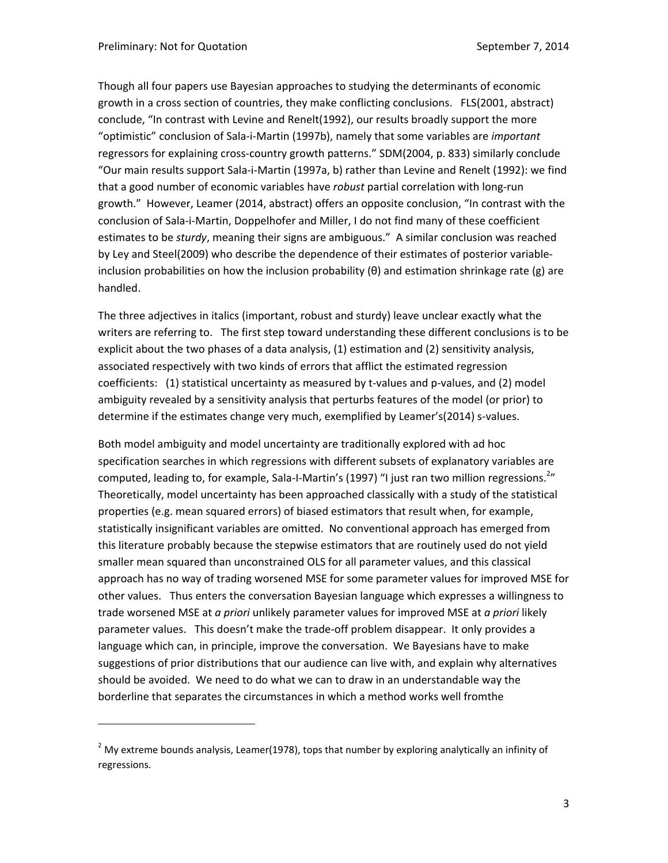Though all four papers use Bayesian approaches to studying the determinants of economic growth in a cross section of countries, they make conflicting conclusions. FLS(2001, abstract) conclude, "In contrast with Levine and Renelt(1992), our results broadly support the more "optimistic" conclusion of Sala‐i‐Martin (1997b), namely that some variables are *important* regressors for explaining cross-country growth patterns." SDM(2004, p. 833) similarly conclude "Our main results support Sala‐i‐Martin (1997a, b) rather than Levine and Renelt (1992): we find that a good number of economic variables have *robust* partial correlation with long-run growth." However, Leamer (2014, abstract) offers an opposite conclusion, "In contrast with the conclusion of Sala‐i‐Martin, Doppelhofer and Miller, I do not find many of these coefficient estimates to be *sturdy*, meaning their signs are ambiguous." A similar conclusion was reached by Ley and Steel(2009) who describe the dependence of their estimates of posterior variable‐ inclusion probabilities on how the inclusion probability (θ) and estimation shrinkage rate (g) are handled.

The three adjectives in italics (important, robust and sturdy) leave unclear exactly what the writers are referring to. The first step toward understanding these different conclusions is to be explicit about the two phases of a data analysis, (1) estimation and (2) sensitivity analysis, associated respectively with two kinds of errors that afflict the estimated regression coefficients: (1) statistical uncertainty as measured by t-values and p-values, and (2) model ambiguity revealed by a sensitivity analysis that perturbs features of the model (or prior) to determine if the estimates change very much, exemplified by Leamer's(2014) s‐values.

Both model ambiguity and model uncertainty are traditionally explored with ad hoc specification searches in which regressions with different subsets of explanatory variables are computed, leading to, for example, Sala-I-Martin's (1997) "I just ran two million regressions.<sup>2</sup>" Theoretically, model uncertainty has been approached classically with a study of the statistical properties (e.g. mean squared errors) of biased estimators that result when, for example, statistically insignificant variables are omitted. No conventional approach has emerged from this literature probably because the stepwise estimators that are routinely used do not yield smaller mean squared than unconstrained OLS for all parameter values, and this classical approach has no way of trading worsened MSE for some parameter values for improved MSE for other values. Thus enters the conversation Bayesian language which expresses a willingness to trade worsened MSE at *a priori* unlikely parameter values for improved MSE at *a priori* likely parameter values. This doesn't make the trade‐off problem disappear. It only provides a language which can, in principle, improve the conversation. We Bayesians have to make suggestions of prior distributions that our audience can live with, and explain why alternatives should be avoided. We need to do what we can to draw in an understandable way the borderline that separates the circumstances in which a method works well fromthe

 $2$  My extreme bounds analysis, Leamer(1978), tops that number by exploring analytically an infinity of regressions.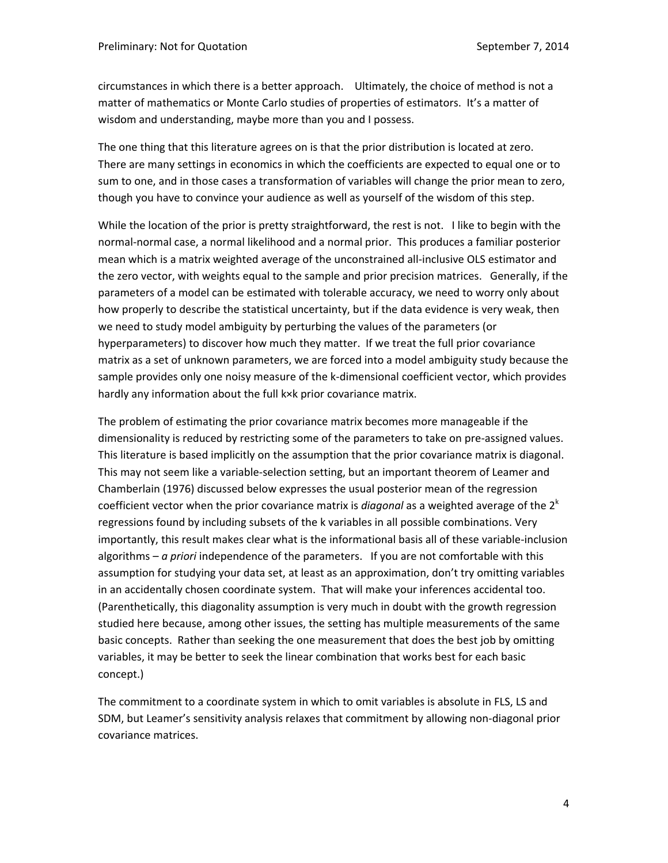circumstances in which there is a better approach. Ultimately, the choice of method is not a matter of mathematics or Monte Carlo studies of properties of estimators. It's a matter of wisdom and understanding, maybe more than you and I possess.

The one thing that this literature agrees on is that the prior distribution is located at zero. There are many settings in economics in which the coefficients are expected to equal one or to sum to one, and in those cases a transformation of variables will change the prior mean to zero, though you have to convince your audience as well as yourself of the wisdom of this step.

While the location of the prior is pretty straightforward, the rest is not. I like to begin with the normal‐normal case, a normal likelihood and a normal prior. This produces a familiar posterior mean which is a matrix weighted average of the unconstrained all‐inclusive OLS estimator and the zero vector, with weights equal to the sample and prior precision matrices. Generally, if the parameters of a model can be estimated with tolerable accuracy, we need to worry only about how properly to describe the statistical uncertainty, but if the data evidence is very weak, then we need to study model ambiguity by perturbing the values of the parameters (or hyperparameters) to discover how much they matter. If we treat the full prior covariance matrix as a set of unknown parameters, we are forced into a model ambiguity study because the sample provides only one noisy measure of the k-dimensional coefficient vector, which provides hardly any information about the full k×k prior covariance matrix.

The problem of estimating the prior covariance matrix becomes more manageable if the dimensionality is reduced by restricting some of the parameters to take on pre‐assigned values. This literature is based implicitly on the assumption that the prior covariance matrix is diagonal. This may not seem like a variable‐selection setting, but an important theorem of Leamer and Chamberlain (1976) discussed below expresses the usual posterior mean of the regression coefficient vector when the prior covariance matrix is *diagonal* as a weighted average of the 2<sup>k</sup> regressions found by including subsets of the k variables in all possible combinations. Very importantly, this result makes clear what is the informational basis all of these variable‐inclusion algorithms – *a priori* independence of the parameters. If you are not comfortable with this assumption for studying your data set, at least as an approximation, don't try omitting variables in an accidentally chosen coordinate system. That will make your inferences accidental too. (Parenthetically, this diagonality assumption is very much in doubt with the growth regression studied here because, among other issues, the setting has multiple measurements of the same basic concepts. Rather than seeking the one measurement that does the best job by omitting variables, it may be better to seek the linear combination that works best for each basic concept.)

The commitment to a coordinate system in which to omit variables is absolute in FLS, LS and SDM, but Leamer's sensitivity analysis relaxes that commitment by allowing non‐diagonal prior covariance matrices.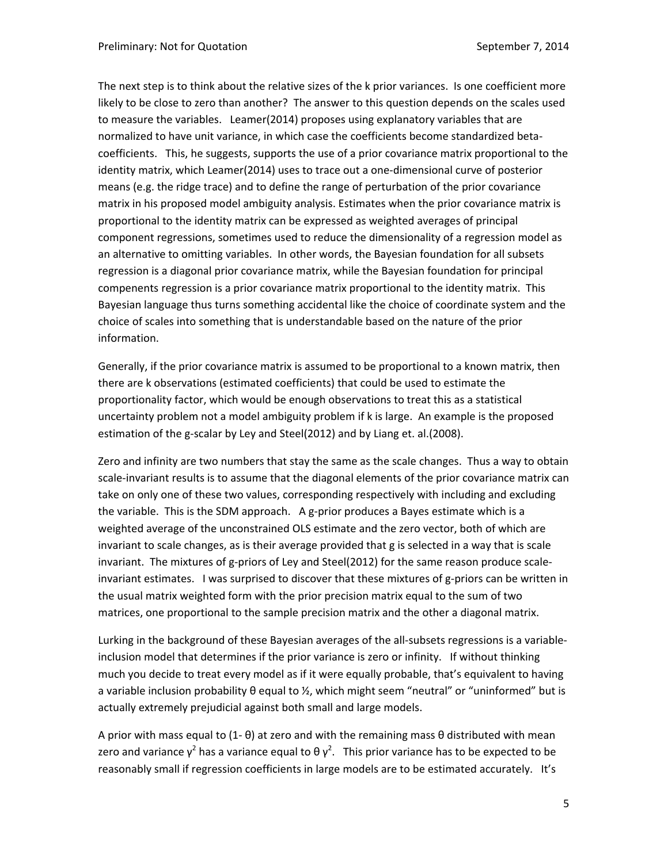The next step is to think about the relative sizes of the k prior variances. Is one coefficient more likely to be close to zero than another? The answer to this question depends on the scales used to measure the variables. Leamer(2014) proposes using explanatory variables that are normalized to have unit variance, in which case the coefficients become standardized beta‐ coefficients. This, he suggests, supports the use of a prior covariance matrix proportional to the identity matrix, which Leamer(2014) uses to trace out a one‐dimensional curve of posterior means (e.g. the ridge trace) and to define the range of perturbation of the prior covariance matrix in his proposed model ambiguity analysis. Estimates when the prior covariance matrix is proportional to the identity matrix can be expressed as weighted averages of principal component regressions, sometimes used to reduce the dimensionality of a regression model as an alternative to omitting variables. In other words, the Bayesian foundation for all subsets regression is a diagonal prior covariance matrix, while the Bayesian foundation for principal compenents regression is a prior covariance matrix proportional to the identity matrix. This Bayesian language thus turns something accidental like the choice of coordinate system and the choice of scales into something that is understandable based on the nature of the prior information.

Generally, if the prior covariance matrix is assumed to be proportional to a known matrix, then there are k observations (estimated coefficients) that could be used to estimate the proportionality factor, which would be enough observations to treat this as a statistical uncertainty problem not a model ambiguity problem if k is large. An example is the proposed estimation of the g-scalar by Ley and Steel(2012) and by Liang et. al.(2008).

Zero and infinity are two numbers that stay the same as the scale changes. Thus a way to obtain scale-invariant results is to assume that the diagonal elements of the prior covariance matrix can take on only one of these two values, corresponding respectively with including and excluding the variable. This is the SDM approach. A g‐prior produces a Bayes estimate which is a weighted average of the unconstrained OLS estimate and the zero vector, both of which are invariant to scale changes, as is their average provided that g is selected in a way that is scale invariant. The mixtures of g-priors of Ley and Steel(2012) for the same reason produce scaleinvariant estimates. I was surprised to discover that these mixtures of g-priors can be written in the usual matrix weighted form with the prior precision matrix equal to the sum of two matrices, one proportional to the sample precision matrix and the other a diagonal matrix.

Lurking in the background of these Bayesian averages of the all‐subsets regressions is a variable‐ inclusion model that determines if the prior variance is zero or infinity. If without thinking much you decide to treat every model as if it were equally probable, that's equivalent to having a variable inclusion probability θ equal to ½, which might seem "neutral" or "uninformed" but is actually extremely prejudicial against both small and large models.

A prior with mass equal to  $(1-\theta)$  at zero and with the remaining mass  $\theta$  distributed with mean zero and variance  $\gamma^2$  has a variance equal to θ  $\gamma^2$ . This prior variance has to be expected to be reasonably small if regression coefficients in large models are to be estimated accurately. It's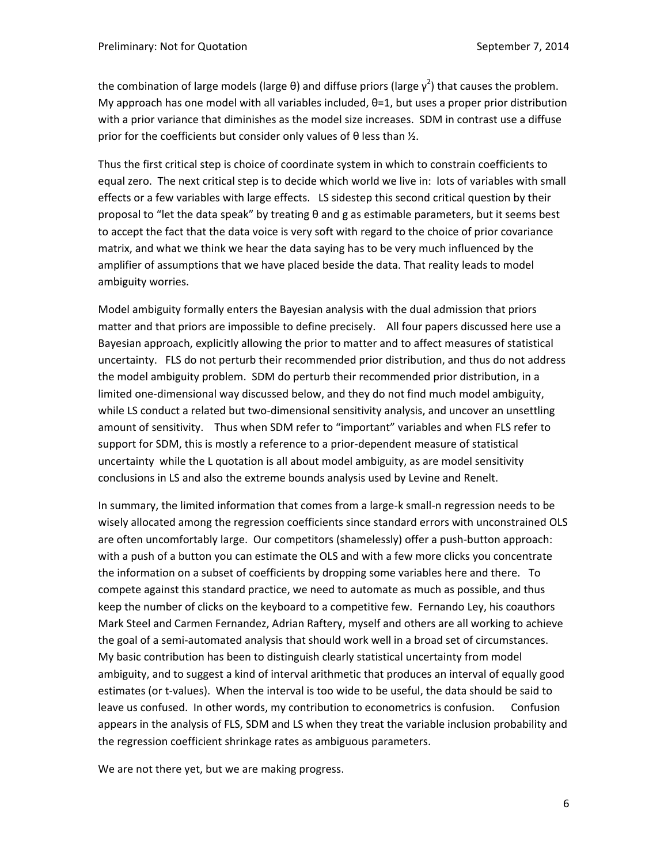the combination of large models (large θ) and diffuse priors (large  $\gamma^2$ ) that causes the problem. My approach has one model with all variables included,  $θ=1$ , but uses a proper prior distribution with a prior variance that diminishes as the model size increases. SDM in contrast use a diffuse prior for the coefficients but consider only values of  $\theta$  less than  $\frac{1}{2}$ .

Thus the first critical step is choice of coordinate system in which to constrain coefficients to equal zero. The next critical step is to decide which world we live in: lots of variables with small effects or a few variables with large effects. LS sidestep this second critical question by their proposal to "let the data speak" by treating θ and g as estimable parameters, but it seems best to accept the fact that the data voice is very soft with regard to the choice of prior covariance matrix, and what we think we hear the data saying has to be very much influenced by the amplifier of assumptions that we have placed beside the data. That reality leads to model ambiguity worries.

Model ambiguity formally enters the Bayesian analysis with the dual admission that priors matter and that priors are impossible to define precisely. All four papers discussed here use a Bayesian approach, explicitly allowing the prior to matter and to affect measures of statistical uncertainty. FLS do not perturb their recommended prior distribution, and thus do not address the model ambiguity problem. SDM do perturb their recommended prior distribution, in a limited one-dimensional way discussed below, and they do not find much model ambiguity, while LS conduct a related but two-dimensional sensitivity analysis, and uncover an unsettling amount of sensitivity. Thus when SDM refer to "important" variables and when FLS refer to support for SDM, this is mostly a reference to a prior-dependent measure of statistical uncertainty while the L quotation is all about model ambiguity, as are model sensitivity conclusions in LS and also the extreme bounds analysis used by Levine and Renelt.

In summary, the limited information that comes from a large‐k small‐n regression needs to be wisely allocated among the regression coefficients since standard errors with unconstrained OLS are often uncomfortably large. Our competitors (shamelessly) offer a push‐button approach: with a push of a button you can estimate the OLS and with a few more clicks you concentrate the information on a subset of coefficients by dropping some variables here and there. To compete against this standard practice, we need to automate as much as possible, and thus keep the number of clicks on the keyboard to a competitive few. Fernando Ley, his coauthors Mark Steel and Carmen Fernandez, Adrian Raftery, myself and others are all working to achieve the goal of a semi‐automated analysis that should work well in a broad set of circumstances. My basic contribution has been to distinguish clearly statistical uncertainty from model ambiguity, and to suggest a kind of interval arithmetic that produces an interval of equally good estimates (or t-values). When the interval is too wide to be useful, the data should be said to leave us confused. In other words, my contribution to econometrics is confusion. Confusion appears in the analysis of FLS, SDM and LS when they treat the variable inclusion probability and the regression coefficient shrinkage rates as ambiguous parameters.

We are not there yet, but we are making progress.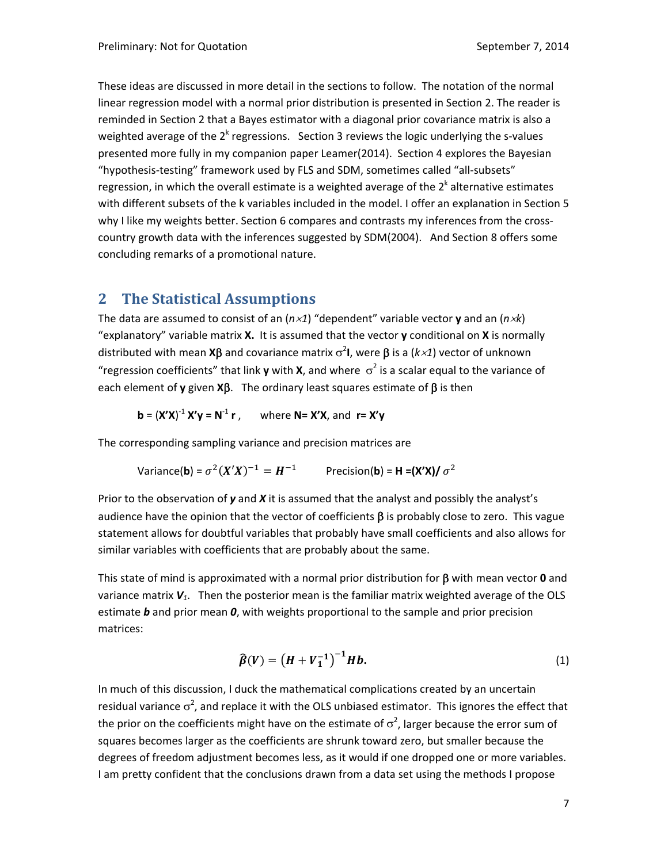These ideas are discussed in more detail in the sections to follow. The notation of the normal linear regression model with a normal prior distribution is presented in Section 2. The reader is reminded in Section 2 that a Bayes estimator with a diagonal prior covariance matrix is also a weighted average of the  $2^k$  regressions. Section 3 reviews the logic underlying the s-values presented more fully in my companion paper Leamer(2014). Section 4 explores the Bayesian "hypothesis‐testing" framework used by FLS and SDM, sometimes called "all‐subsets" regression, in which the overall estimate is a weighted average of the  $2<sup>k</sup>$  alternative estimates with different subsets of the k variables included in the model. I offer an explanation in Section 5 why I like my weights better. Section 6 compares and contrasts my inferences from the crosscountry growth data with the inferences suggested by SDM(2004). And Section 8 offers some concluding remarks of a promotional nature.

# **2 The Statistical Assumptions**

The data are assumed to consist of an  $(n \times 1)$  "dependent" variable vector **y** and an  $(n \times k)$ "explanatory" variable matrix **X.** It is assumed that the vector **y** conditional on **X** is normally distributed with mean **X** $\beta$  and covariance matrix  $\sigma^2$ I, were  $\beta$  is a ( $k \times 1$ ) vector of unknown "regression coefficients" that link **y** with **X**, and where  $\sigma^2$  is a scalar equal to the variance of each element of **y** given  $X\beta$ . The ordinary least squares estimate of  $\beta$  is then

**b** =  $(X'X)^{-1} X'Y = N^{-1} r$ , where **N= X'X**, and  $r = X'Y$ 

The corresponding sampling variance and precision matrices are

Variance(**b**) = 
$$
\sigma^2(X'X)^{-1} = H^{-1}
$$
 Precision(**b**) = **H** = (X'X)/  $\sigma^2$ 

Prior to the observation of *y* and *X* it is assumed that the analyst and possibly the analyst's audience have the opinion that the vector of coefficients  $\beta$  is probably close to zero. This vague statement allows for doubtful variables that probably have small coefficients and also allows for similar variables with coefficients that are probably about the same.

This state of mind is approximated with a normal prior distribution for  $\beta$  with mean vector  $\boldsymbol{0}$  and variance matrix *V1*. Then the posterior mean is the familiar matrix weighted average of the OLS estimate *b* and prior mean *0*, with weights proportional to the sample and prior precision matrices:

$$
\widehat{\beta}(V) = (H + V_1^{-1})^{-1} Hb. \tag{1}
$$

In much of this discussion, I duck the mathematical complications created by an uncertain residual variance  $\sigma^2$ , and replace it with the OLS unbiased estimator. This ignores the effect that the prior on the coefficients might have on the estimate of  $\sigma^2$ , larger because the error sum of squares becomes larger as the coefficients are shrunk toward zero, but smaller because the degrees of freedom adjustment becomes less, as it would if one dropped one or more variables. I am pretty confident that the conclusions drawn from a data set using the methods I propose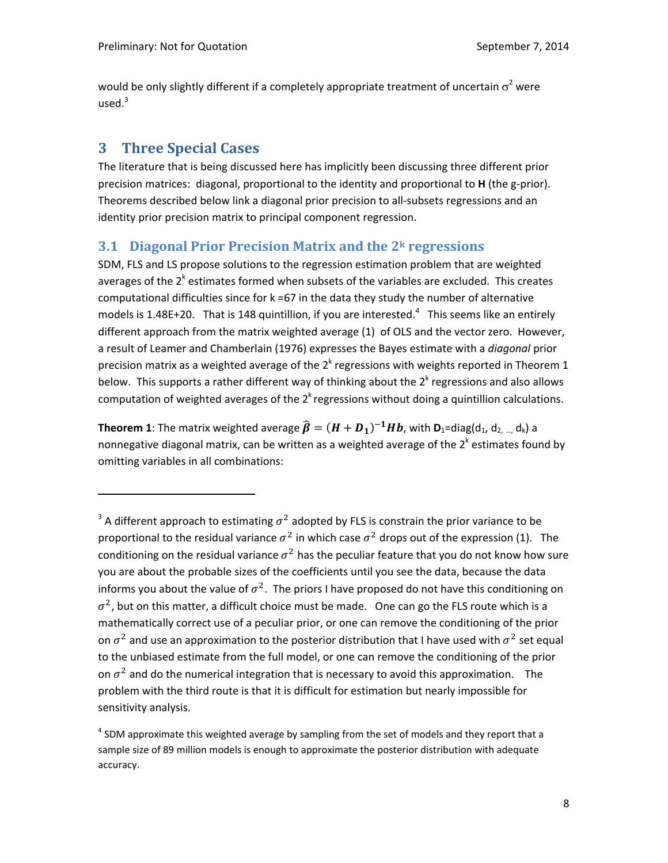would be only slightly different if a completely appropriate treatment of uncertain  $\sigma^2$  were used. $3$ 

# **3 Three Special Cases**

The literature that is being discussed here has implicitly been discussing three different prior precision matrices: diagonal, proportional to the identity and proportional to **H** (the g‐prior). Theorems described below link a diagonal prior precision to all‐subsets regressions and an identity prior precision matrix to principal component regression.

### **3.1 Diagonal Prior Precision Matrix and the 2k regressions**

SDM, FLS and LS propose solutions to the regression estimation problem that are weighted averages of the  $2<sup>k</sup>$  estimates formed when subsets of the variables are excluded. This creates computational difficulties since for k =67 in the data they study the number of alternative models is 1.48E+20. That is 148 quintillion, if you are interested.<sup>4</sup> This seems like an entirely different approach from the matrix weighted average (1) of OLS and the vector zero. However, a result of Leamer and Chamberlain (1976) expresses the Bayes estimate with a *diagonal* prior precision matrix as a weighted average of the  $2<sup>k</sup>$  regressions with weights reported in Theorem 1 below. This supports a rather different way of thinking about the  $2<sup>k</sup>$  regressions and also allows computation of weighted averages of the  $2<sup>k</sup>$  regressions without doing a quintillion calculations.

**Theorem 1**: The matrix weighted average  $\widehat{\boldsymbol{\beta}} = (\boldsymbol{H} + \boldsymbol{D}_1)^{-1} \boldsymbol{H} \boldsymbol{b}$ , with  $\boldsymbol{D}_1 = \text{diag}(d_1, d_2, d_k)$  a nonnegative diagonal matrix, can be written as a weighted average of the  $2^k$  estimates found by omitting variables in all combinations:

<sup>&</sup>lt;sup>3</sup> A different approach to estimating  $\sigma^2$  adopted by FLS is constrain the prior variance to be proportional to the residual variance  $\sigma^2$  in which case  $\sigma^2$  drops out of the expression (1). The conditioning on the residual variance  $\sigma^2$  has the peculiar feature that you do not know how sure you are about the probable sizes of the coefficients until you see the data, because the data informs you about the value of  $\sigma^2$ . The priors I have proposed do not have this conditioning on  $\sigma^2$ , but on this matter, a difficult choice must be made. One can go the FLS route which is a mathematically correct use of a peculiar prior, or one can remove the conditioning of the prior on  $\sigma^2$  and use an approximation to the posterior distribution that I have used with  $\sigma^2$  set equal to the unbiased estimate from the full model, or one can remove the conditioning of the prior on  $\sigma^2$  and do the numerical integration that is necessary to avoid this approximation. The problem with the third route is that it is difficult for estimation but nearly impossible for sensitivity analysis.

 $4$  SDM approximate this weighted average by sampling from the set of models and they report that a sample size of 89 million models is enough to approximate the posterior distribution with adequate accuracy.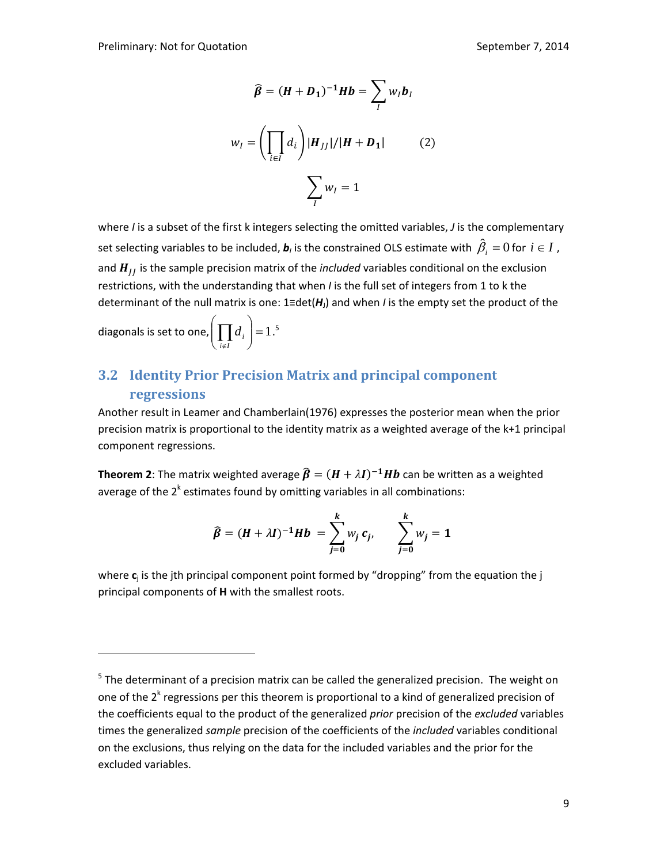$$
\hat{\beta} = (H + D_1)^{-1} Hb = \sum_{I} w_I b_I
$$
  

$$
w_I = \left(\prod_{i \in I} d_i\right) |H_{JJ}| / |H + D_1|
$$
 (2)  

$$
\sum_{I} w_I = 1
$$

where *I* is a subset of the first k integers selecting the omitted variables, *J* is the complementary set selecting variables to be included,  $\bm{b}_l$  is the constrained OLS estimate with  $\,\hat{\beta}_i=0$  for  $\,i\in I$  , and  $H_{II}$  is the sample precision matrix of the *included* variables conditional on the exclusion restrictions, with the understanding that when *I* is the full set of integers from 1 to k the determinant of the null matrix is one: 1≡det(*H*J) and when *I* is the empty set the product of the

diagonals is set to one, 
$$
\left(\prod_{i \notin I} d_i\right) = 1
$$
.<sup>5</sup>

# **3.2 Identity Prior Precision Matrix and principal component regressions**

Another result in Leamer and Chamberlain(1976) expresses the posterior mean when the prior precision matrix is proportional to the identity matrix as a weighted average of the k+1 principal component regressions.

**Theorem 2**: The matrix weighted average  $\widehat{\beta} = (H + \lambda I)^{-1} Hb$  can be written as a weighted average of the  $2^k$  estimates found by omitting variables in all combinations:

$$
\widehat{\beta} = (H + \lambda I)^{-1} Hb = \sum_{j=0}^{k} w_j c_j, \qquad \sum_{j=0}^{k} w_j = 1
$$

where  $c_i$  is the jth principal component point formed by "dropping" from the equation the j principal components of **H** with the smallest roots.

 $5$  The determinant of a precision matrix can be called the generalized precision. The weight on one of the  $2<sup>k</sup>$  regressions per this theorem is proportional to a kind of generalized precision of the coefficients equal to the product of the generalized *prior* precision of the *excluded* variables times the generalized *sample* precision of the coefficients of the *included* variables conditional on the exclusions, thus relying on the data for the included variables and the prior for the excluded variables.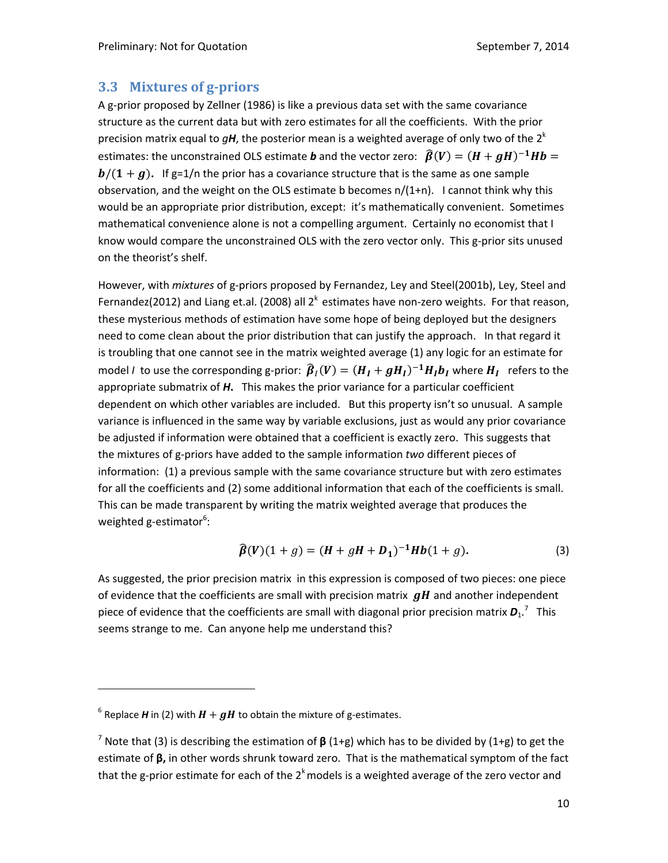#### **3.3 Mixtures of g‐priors**

A g-prior proposed by Zellner (1986) is like a previous data set with the same covariance structure as the current data but with zero estimates for all the coefficients. With the prior precision matrix equal to  $qH$ , the posterior mean is a weighted average of only two of the  $2<sup>k</sup>$ estimates: the unconstrained OLS estimate **b** and the vector zero:  $\hat{\beta}(V) = (H + gH)^{-1}Hb =$  $b/(1 + g)$ . If g=1/n the prior has a covariance structure that is the same as one sample observation, and the weight on the OLS estimate b becomes n/(1+n). I cannot think why this would be an appropriate prior distribution, except: it's mathematically convenient. Sometimes mathematical convenience alone is not a compelling argument. Certainly no economist that I know would compare the unconstrained OLS with the zero vector only. This g-prior sits unused on the theorist's shelf.

However, with *mixtures* of g‐priors proposed by Fernandez, Ley and Steel(2001b), Ley, Steel and Fernandez(2012) and Liang et.al. (2008) all  $2<sup>k</sup>$  estimates have non-zero weights. For that reason, these mysterious methods of estimation have some hope of being deployed but the designers need to come clean about the prior distribution that can justify the approach. In that regard it is troubling that one cannot see in the matrix weighted average (1) any logic for an estimate for model *I* to use the corresponding g-prior:  $\hat{\beta}_I(V) = (H_I + gH_I)^{-1}H_I b_I$  where  $H_I$  refers to the appropriate submatrix of *H***.** This makes the prior variance for a particular coefficient dependent on which other variables are included. But this property isn't so unusual. A sample variance is influenced in the same way by variable exclusions, just as would any prior covariance be adjusted if information were obtained that a coefficient is exactly zero. This suggests that the mixtures of g‐priors have added to the sample information *two* different pieces of information: (1) a previous sample with the same covariance structure but with zero estimates for all the coefficients and (2) some additional information that each of the coefficients is small. This can be made transparent by writing the matrix weighted average that produces the weighted g-estimator<sup>6</sup>:

$$
\widehat{\beta}(V)(1+g) = (H + gH + D_1)^{-1}Hb(1+g). \tag{3}
$$

As suggested, the prior precision matrix in this expression is composed of two pieces: one piece of evidence that the coefficients are small with precision matrix  $\bm{g}\bm{H}$  and another independent piece of evidence that the coefficients are small with diagonal prior precision matrix  $\boldsymbol{D_1}$ .<sup>7</sup> This seems strange to me. Can anyone help me understand this?

 $6$  Replace *H* in (2) with  $H + gH$  to obtain the mixture of g-estimates.

<sup>7</sup> Note that (3) is describing the estimation of **β** (1+g) which has to be divided by (1+g) to get the estimate of **β,** in other words shrunk toward zero.That is the mathematical symptom of the fact that the g-prior estimate for each of the 2 $^k$  models is a weighted average of the zero vector and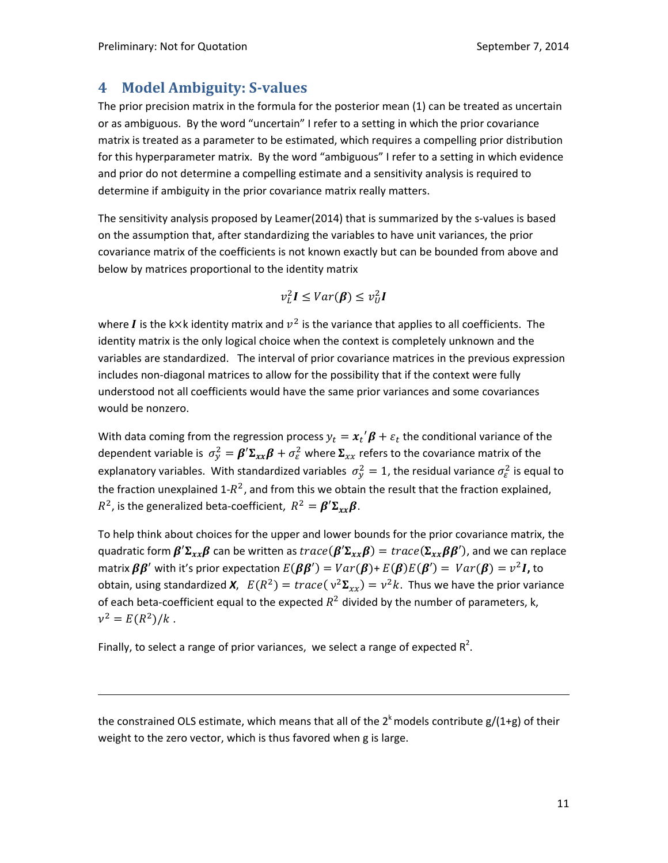# **4 Model Ambiguity: S‐values**

The prior precision matrix in the formula for the posterior mean (1) can be treated as uncertain or as ambiguous. By the word "uncertain" I refer to a setting in which the prior covariance matrix is treated as a parameter to be estimated, which requires a compelling prior distribution for this hyperparameter matrix. By the word "ambiguous" I refer to a setting in which evidence and prior do not determine a compelling estimate and a sensitivity analysis is required to determine if ambiguity in the prior covariance matrix really matters.

The sensitivity analysis proposed by Leamer(2014) that is summarized by the s‐values is based on the assumption that, after standardizing the variables to have unit variances, the prior covariance matrix of the coefficients is not known exactly but can be bounded from above and below by matrices proportional to the identity matrix

$$
v_L^2I \leq Var(\beta) \leq v_U^2I
$$

where *I* is the k×k identity matrix and  $v^2$  is the variance that applies to all coefficients. The identity matrix is the only logical choice when the context is completely unknown and the variables are standardized. The interval of prior covariance matrices in the previous expression includes non‐diagonal matrices to allow for the possibility that if the context were fully understood not all coefficients would have the same prior variances and some covariances would be nonzero.

With data coming from the regression process  $y_t = x_t' \beta + \varepsilon_t$  the conditional variance of the dependent variable is  $\sigma_y^2 = \beta' \Sigma_{xx} \beta + \sigma_\varepsilon^2$  where  $\Sigma_{xx}$  refers to the covariance matrix of the explanatory variables. With standardized variables  $\sigma_y^2 = 1$ , the residual variance  $\sigma_\varepsilon^2$  is equal to the fraction unexplained 1- $R^2$ , and from this we obtain the result that the fraction explained,  $R^2$ , is the generalized beta-coefficient,  $R^2 = \boldsymbol{\beta}' \boldsymbol{\Sigma}_{rr} \boldsymbol{\beta}$ .

To help think about choices for the upper and lower bounds for the prior covariance matrix, the quadratic form  $\beta' \Sigma_{xx} \beta$  can be written as  $trace(\beta' \Sigma_{xx} \beta) = trace(\Sigma_{xx} \beta \beta')$ , and we can replace matrix  $\beta \beta'$  with it's prior expectation  $E(\beta \beta') = Var(\beta) + E(\beta)E(\beta') = Var(\beta) = v^2 I$ , to obtain, using standardized *X*,  $E(R^2) = trace(v^2\Sigma_{xx}) = v^2k$ . Thus we have the prior variance of each beta-coefficient equal to the expected  $R^2$  divided by the number of parameters, k,  $v^2 = E(R^2)/k$ .

Finally, to select a range of prior variances, we select a range of expected  $R^2$ .

the constrained OLS estimate, which means that all of the 2<sup>k</sup> models contribute g/(1+g) of their weight to the zero vector, which is thus favored when g is large.

<u> Andreas Andreas Andreas Andreas Andreas Andreas Andreas Andreas Andreas Andreas Andreas Andreas Andreas Andr</u>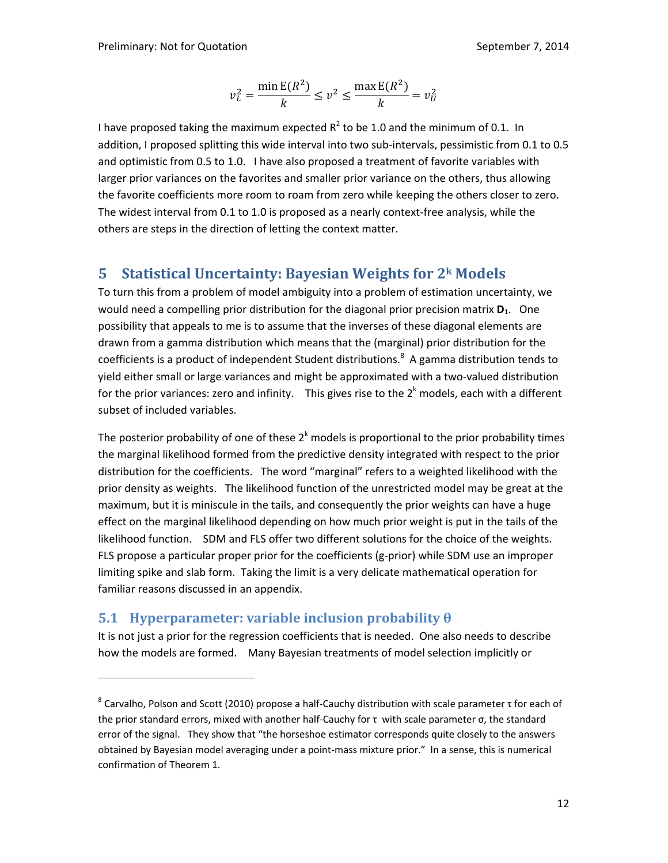$$
v_L^2 = \frac{\min E(R^2)}{k} \le v^2 \le \frac{\max E(R^2)}{k} = v_U^2
$$

I have proposed taking the maximum expected  $R^2$  to be 1.0 and the minimum of 0.1. In addition, I proposed splitting this wide interval into two sub-intervals, pessimistic from 0.1 to 0.5 and optimistic from 0.5 to 1.0. I have also proposed a treatment of favorite variables with larger prior variances on the favorites and smaller prior variance on the others, thus allowing the favorite coefficients more room to roam from zero while keeping the others closer to zero. The widest interval from 0.1 to 1.0 is proposed as a nearly context‐free analysis, while the others are steps in the direction of letting the context matter.

# **5 Statistical Uncertainty: Bayesian Weights for 2k Models**

To turn this from a problem of model ambiguity into a problem of estimation uncertainty, we would need a compelling prior distribution for the diagonal prior precision matrix **D**<sub>1</sub>. One possibility that appeals to me is to assume that the inverses of these diagonal elements are drawn from a gamma distribution which means that the (marginal) prior distribution for the coefficients is a product of independent Student distributions.<sup>8</sup> A gamma distribution tends to yield either small or large variances and might be approximated with a two‐valued distribution for the prior variances: zero and infinity. This gives rise to the  $2<sup>k</sup>$  models, each with a different subset of included variables.

The posterior probability of one of these  $2<sup>k</sup>$  models is proportional to the prior probability times the marginal likelihood formed from the predictive density integrated with respect to the prior distribution for the coefficients. The word "marginal" refers to a weighted likelihood with the prior density as weights. The likelihood function of the unrestricted model may be great at the maximum, but it is miniscule in the tails, and consequently the prior weights can have a huge effect on the marginal likelihood depending on how much prior weight is put in the tails of the likelihood function. SDM and FLS offer two different solutions for the choice of the weights. FLS propose a particular proper prior for the coefficients (g‐prior) while SDM use an improper limiting spike and slab form. Taking the limit is a very delicate mathematical operation for familiar reasons discussed in an appendix.

### **5.1**  Hyperparameter: variable inclusion probability  $\theta$

It is not just a prior for the regression coefficients that is needed. One also needs to describe how the models are formed. Many Bayesian treatments of model selection implicitly or

<sup>8</sup> Carvalho, Polson and Scott (2010) propose a half‐Cauchy distribution with scale parameter τ for each of the prior standard errors, mixed with another half‐Cauchy for τ with scale parameter σ, the standard error of the signal. They show that "the horseshoe estimator corresponds quite closely to the answers obtained by Bayesian model averaging under a point‐mass mixture prior." In a sense, this is numerical confirmation of Theorem 1.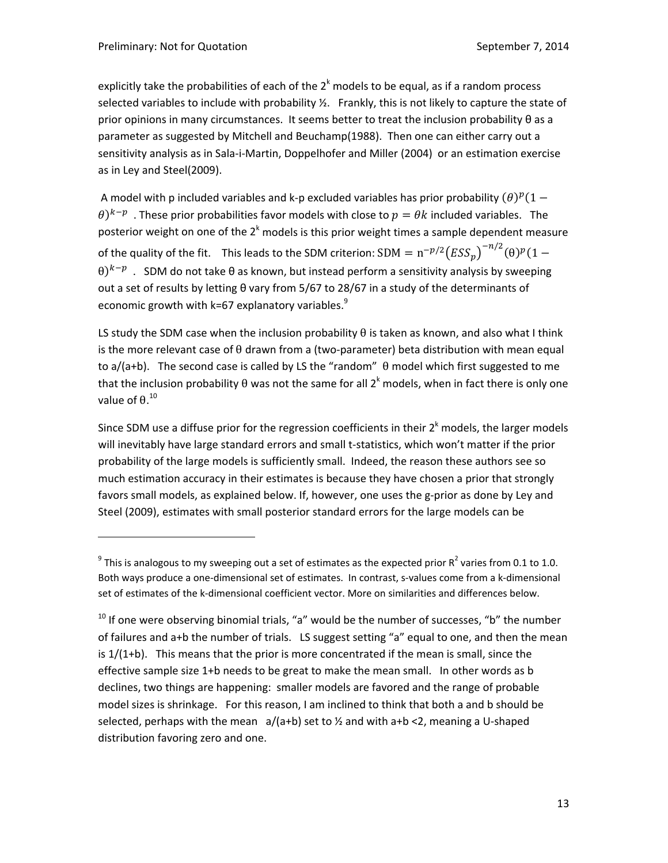explicitly take the probabilities of each of the  $2<sup>k</sup>$  models to be equal, as if a random process selected variables to include with probability ½. Frankly, this is not likely to capture the state of prior opinions in many circumstances. It seems better to treat the inclusion probability θ as a parameter as suggested by Mitchell and Beuchamp(1988). Then one can either carry out a sensitivity analysis as in Sala-i-Martin, Doppelhofer and Miller (2004) or an estimation exercise as in Ley and Steel(2009).

A model with p included variables and k-p excluded variables has prior probability  $(\theta)^p(1 - \theta)^T$  $\theta$ )<sup>k-p</sup>. These prior probabilities favor models with close to  $p = \theta k$  included variables. The posterior weight on one of the  $2<sup>k</sup>$  models is this prior weight times a sample dependent measure of the quality of the fit. This leads to the SDM criterion:  ${\rm SDM} = {\rm n}^{-p/2} \big( {\rm ESS}_p \big)^{-n/2} (\theta)^p (1-\theta)^{n/2}$  $\theta$ )<sup> $k-p$ </sup>. SDM do not take  $\theta$  as known, but instead perform a sensitivity analysis by sweeping out a set of results by letting θ vary from 5/67 to 28/67 in a study of the determinants of economic growth with k=67 explanatory variables. $^{9}$ 

LS study the SDM case when the inclusion probability  $\theta$  is taken as known, and also what I think is the more relevant case of  $\theta$  drawn from a (two-parameter) beta distribution with mean equal to a/(a+b). The second case is called by LS the "random"  $\theta$  model which first suggested to me that the inclusion probability θ was not the same for all 2<sup>k</sup> models, when in fact there is only one value of  $\theta$ .<sup>10</sup>

Since SDM use a diffuse prior for the regression coefficients in their  $2<sup>k</sup>$  models, the larger models will inevitably have large standard errors and small t‐statistics, which won't matter if the prior probability of the large models is sufficiently small. Indeed, the reason these authors see so much estimation accuracy in their estimates is because they have chosen a prior that strongly favors small models, as explained below. If, however, one uses the g-prior as done by Ley and Steel (2009), estimates with small posterior standard errors for the large models can be

 $9$  This is analogous to my sweeping out a set of estimates as the expected prior  $R^2$  varies from 0.1 to 1.0. Both ways produce a one-dimensional set of estimates. In contrast, s-values come from a k-dimensional set of estimates of the k-dimensional coefficient vector. More on similarities and differences below.

 $10$  If one were observing binomial trials, "a" would be the number of successes, "b" the number of failures and a+b the number of trials. LS suggest setting "a" equal to one, and then the mean is  $1/(1+b)$ . This means that the prior is more concentrated if the mean is small, since the effective sample size 1+b needs to be great to make the mean small. In other words as b declines, two things are happening: smaller models are favored and the range of probable model sizes is shrinkage. For this reason, I am inclined to think that both a and b should be selected, perhaps with the mean  $a/(a+b)$  set to  $\frac{1}{2}$  and with a+b <2, meaning a U-shaped distribution favoring zero and one.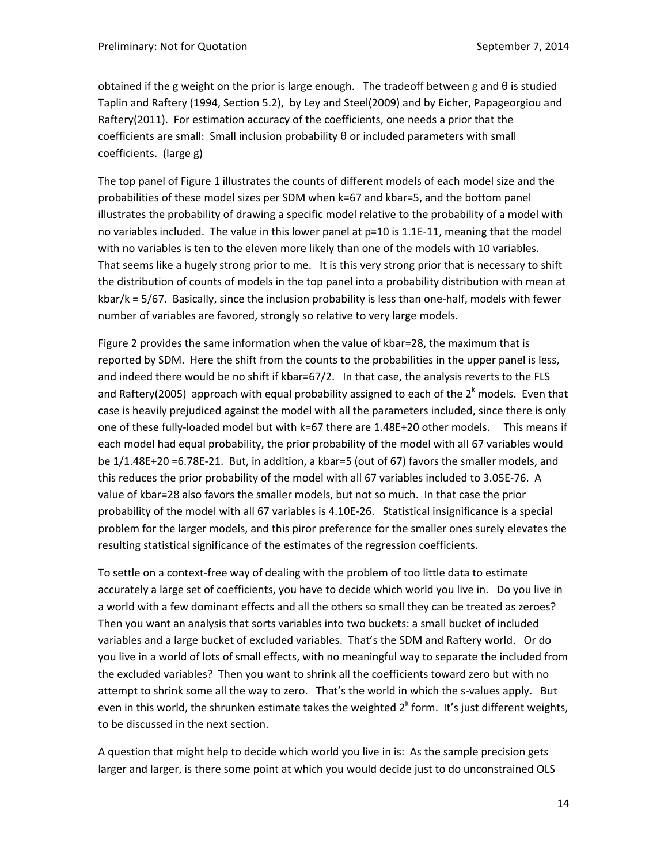obtained if the g weight on the prior is large enough. The tradeoff between g and θ is studied Taplin and Raftery (1994, Section 5.2), by Ley and Steel(2009) and by Eicher, Papageorgiou and Raftery(2011). For estimation accuracy of the coefficients, one needs a prior that the coefficients are small: Small inclusion probability  $\theta$  or included parameters with small coefficients. (large g)

The top panel of Figure 1 illustrates the counts of different models of each model size and the probabilities of these model sizes per SDM when k=67 and kbar=5, and the bottom panel illustrates the probability of drawing a specific model relative to the probability of a model with no variables included. The value in this lower panel at p=10 is 1.1E-11, meaning that the model with no variables is ten to the eleven more likely than one of the models with 10 variables. That seems like a hugely strong prior to me. It is this very strong prior that is necessary to shift the distribution of counts of models in the top panel into a probability distribution with mean at kbar/k = 5/67. Basically, since the inclusion probability is less than one-half, models with fewer number of variables are favored, strongly so relative to very large models.

Figure 2 provides the same information when the value of kbar=28, the maximum that is reported by SDM. Here the shift from the counts to the probabilities in the upper panel is less, and indeed there would be no shift if kbar=67/2. In that case, the analysis reverts to the FLS and Raftery(2005) approach with equal probability assigned to each of the  $2<sup>k</sup>$  models. Even that case is heavily prejudiced against the model with all the parameters included, since there is only one of these fully-loaded model but with k=67 there are 1.48E+20 other models. This means if each model had equal probability, the prior probability of the model with all 67 variables would be 1/1.48E+20 =6.78E‐21. But, in addition, a kbar=5 (out of 67) favors the smaller models, and this reduces the prior probability of the model with all 67 variables included to 3.05E‐76. A value of kbar=28 also favors the smaller models, but not so much. In that case the prior probability of the model with all 67 variables is 4.10E‐26. Statistical insignificance is a special problem for the larger models, and this piror preference for the smaller ones surely elevates the resulting statistical significance of the estimates of the regression coefficients.

To settle on a context‐free way of dealing with the problem of too little data to estimate accurately a large set of coefficients, you have to decide which world you live in. Do you live in a world with a few dominant effects and all the others so small they can be treated as zeroes? Then you want an analysis that sorts variables into two buckets: a small bucket of included variables and a large bucket of excluded variables. That's the SDM and Raftery world. Or do you live in a world of lots of small effects, with no meaningful way to separate the included from the excluded variables? Then you want to shrink all the coefficients toward zero but with no attempt to shrink some all the way to zero. That's the world in which the s-values apply. But even in this world, the shrunken estimate takes the weighted  $2<sup>k</sup>$  form. It's just different weights, to be discussed in the next section.

A question that might help to decide which world you live in is: As the sample precision gets larger and larger, is there some point at which you would decide just to do unconstrained OLS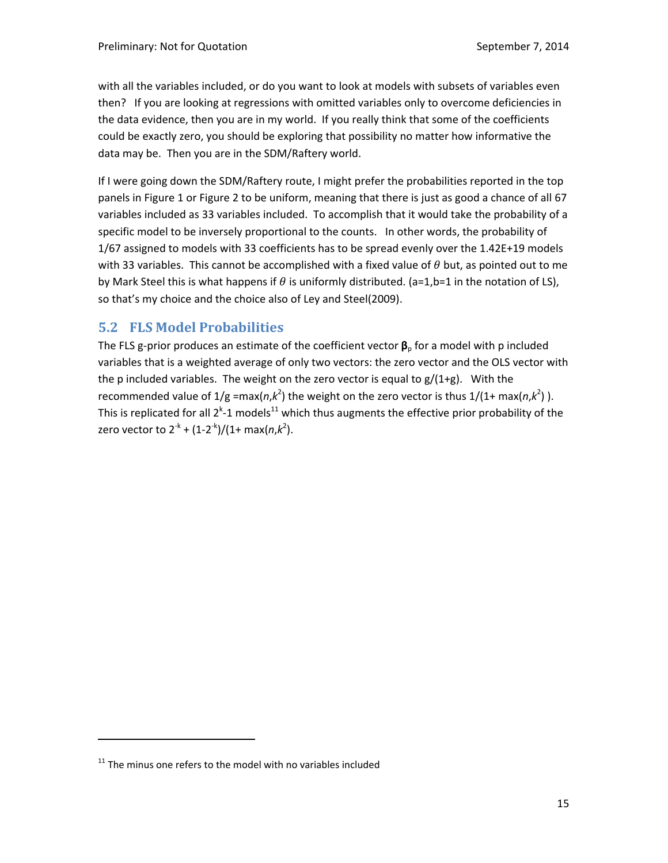with all the variables included, or do you want to look at models with subsets of variables even then? If you are looking at regressions with omitted variables only to overcome deficiencies in the data evidence, then you are in my world. If you really think that some of the coefficients could be exactly zero, you should be exploring that possibility no matter how informative the data may be. Then you are in the SDM/Raftery world.

If I were going down the SDM/Raftery route, I might prefer the probabilities reported in the top panels in Figure 1 or Figure 2 to be uniform, meaning that there is just as good a chance of all 67 variables included as 33 variables included. To accomplish that it would take the probability of a specific model to be inversely proportional to the counts. In other words, the probability of 1/67 assigned to models with 33 coefficients has to be spread evenly over the 1.42E+19 models with 33 variables. This cannot be accomplished with a fixed value of  $\theta$  but, as pointed out to me by Mark Steel this is what happens if  $\theta$  is uniformly distributed. (a=1,b=1 in the notation of LS), so that's my choice and the choice also of Ley and Steel(2009).

# **5.2 FLS Model Probabilities**

The FLS g-prior produces an estimate of the coefficient vector  $\beta_{\rm p}$  for a model with p included variables that is a weighted average of only two vectors: the zero vector and the OLS vector with the p included variables. The weight on the zero vector is equal to  $g/(1+g)$ . With the recommended value of  $1/g = max(n, k^2)$  the weight on the zero vector is thus  $1/(1+ max(n, k^2))$ . This is replicated for all 2<sup>k</sup>-1 models<sup>11</sup> which thus augments the effective prior probability of the zero vector to 2<sup>-k</sup> + (1-2<sup>-k</sup>)/(1+ max(*n*,*k*<sup>2</sup>).

 $11$  The minus one refers to the model with no variables included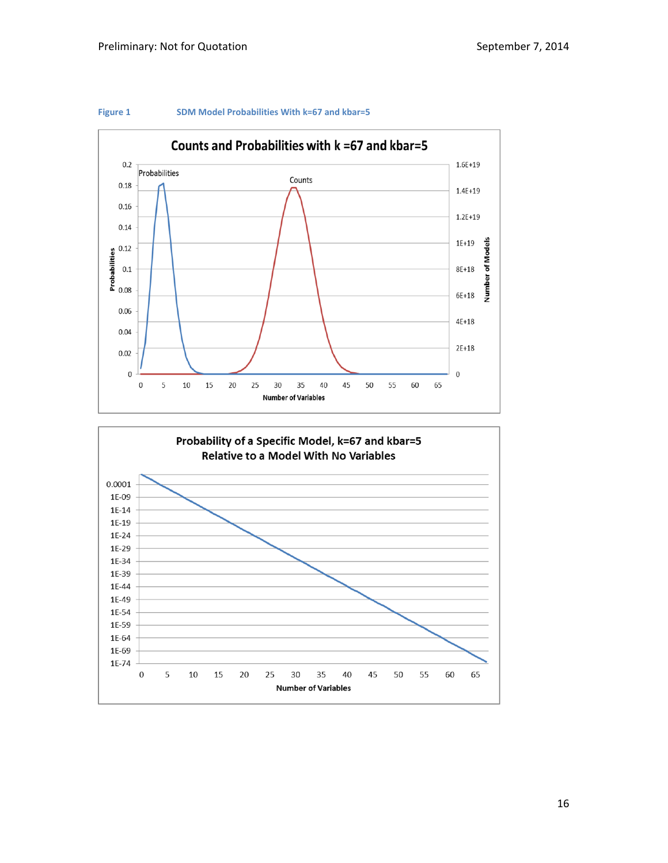

#### **Figure 1 SDM Model Probabilities With k=67 and kbar=5**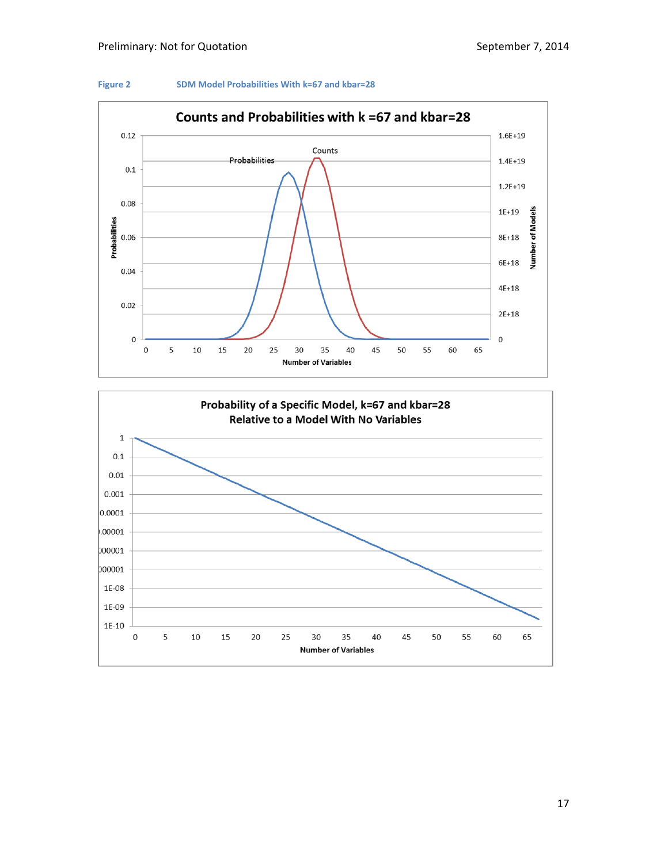



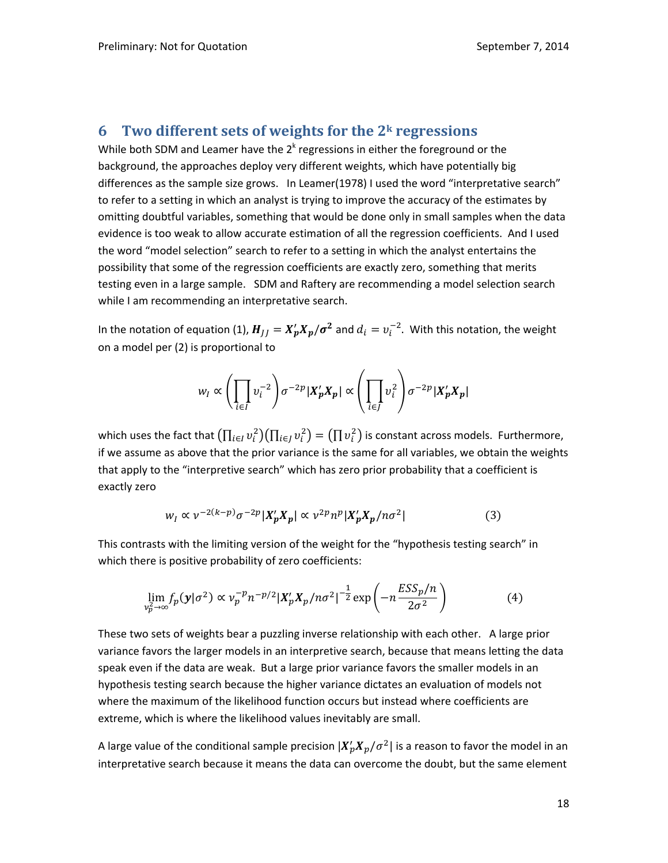### **6 Two different sets of weights for the 2k regressions**

While both SDM and Leamer have the  $2<sup>k</sup>$  regressions in either the foreground or the background, the approaches deploy very different weights, which have potentially big differences as the sample size grows. In Leamer(1978) I used the word "interpretative search" to refer to a setting in which an analyst is trying to improve the accuracy of the estimates by omitting doubtful variables, something that would be done only in small samples when the data evidence is too weak to allow accurate estimation of all the regression coefficients. And I used the word "model selection" search to refer to a setting in which the analyst entertains the possibility that some of the regression coefficients are exactly zero, something that merits testing even in a large sample. SDM and Raftery are recommending a model selection search while I am recommending an interpretative search.

In the notation of equation (1),  $H_{JJ} = X'_p X_p/\sigma^2$  and  $d_i = v_i^{-2}$ . With this notation, the weight on a model per (2) is proportional to

$$
w_I \propto \left(\prod_{i\in I} v_i^{-2}\right) \sigma^{-2p} |X'_p X_p| \propto \left(\prod_{i\in J} v_i^2\right) \sigma^{-2p} |X'_p X_p|
$$

which uses the fact that  $(\prod_{i\in I}v_i^2)(\prod_{i\in J}v_i^2)=(\prod v_i^2)$  is constant across models. Furthermore, if we assume as above that the prior variance is the same for all variables, we obtain the weights that apply to the "interpretive search" which has zero prior probability that a coefficient is exactly zero

$$
w_l \propto \nu^{-2(k-p)} \sigma^{-2p} |X_p' X_p| \propto \nu^{2p} n^p |X_p' X_p / n \sigma^2| \tag{3}
$$

This contrasts with the limiting version of the weight for the "hypothesis testing search" in which there is positive probability of zero coefficients:

$$
\lim_{\nu_p^2 \to \infty} f_p(\mathbf{y}|\sigma^2) \propto \nu_p^{-p} n^{-p/2} |\mathbf{X}_p' \mathbf{X}_p / n \sigma^2|^{-\frac{1}{2}} \exp\left(-n \frac{ESS_p / n}{2\sigma^2}\right) \tag{4}
$$

These two sets of weights bear a puzzling inverse relationship with each other. A large prior variance favors the larger models in an interpretive search, because that means letting the data speak even if the data are weak. But a large prior variance favors the smaller models in an hypothesis testing search because the higher variance dictates an evaluation of models not where the maximum of the likelihood function occurs but instead where coefficients are extreme, which is where the likelihood values inevitably are small.

A large value of the conditional sample precision  $|X'_pX_p/\sigma^2|$  is a reason to favor the model in an interpretative search because it means the data can overcome the doubt, but the same element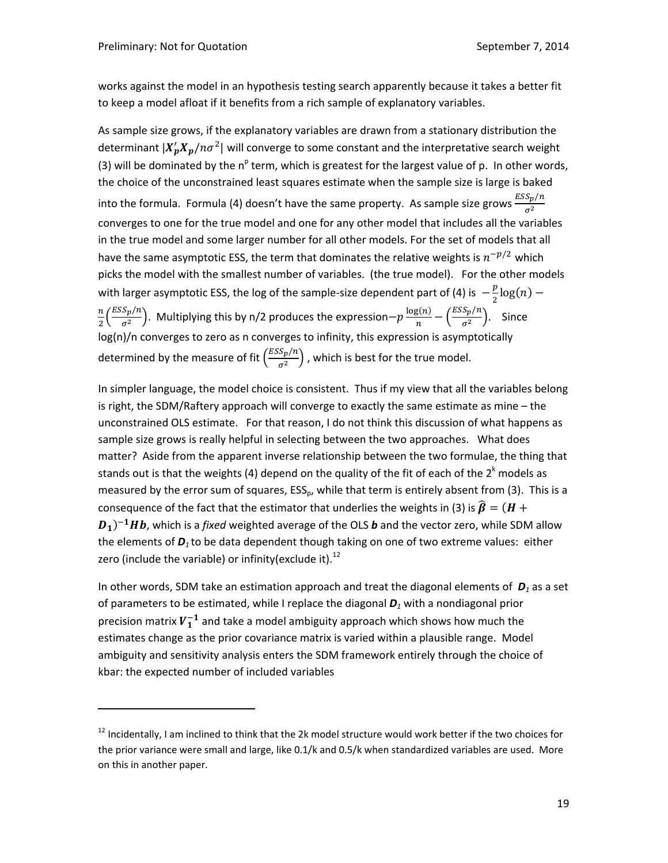works against the model in an hypothesis testing search apparently because it takes a better fit to keep a model afloat if it benefits from a rich sample of explanatory variables.

As sample size grows, if the explanatory variables are drawn from a stationary distribution the determinant  $|X'_pX_p/n\sigma^2|$  will converge to some constant and the interpretative search weight (3) will be dominated by the n<sup>p</sup> term, which is greatest for the largest value of p. In other words, the choice of the unconstrained least squares estimate when the sample size is large is baked into the formula. Formula (4) doesn't have the same property. As sample size grows  $\frac{ESS_p/n}{z^2}$  $\sigma^2$ converges to one for the true model and one for any other model that includes all the variables in the true model and some larger number for all other models. For the set of models that all have the same asymptotic ESS, the term that dominates the relative weights is  $n^{-p/2}$  which picks the model with the smallest number of variables. (the true model). For the other models with larger asymptotic ESS, the log of the sample-size dependent part of (4) is  $-\frac{p}{2}{\rm{log}}(n)$  –  $\frac{n}{2} \Big( \frac{ESSp/n}{\sigma^2} \Big).$  Multiplying this by n/2 produces the expression $-p \frac{\log(n)}{n} - \Big( \frac{ESSp/n}{\sigma^2} \Big).$  Since log(n)/n converges to zero as n converges to infinity, this expression is asymptotically determined by the measure of fit  $\left(\frac{ESS_p/n}{\sigma^2}\right)$  , which is best for the true model.

In simpler language, the model choice is consistent. Thus if my view that all the variables belong is right, the SDM/Raftery approach will converge to exactly the same estimate as mine – the unconstrained OLS estimate. For that reason, I do not think this discussion of what happens as sample size grows is really helpful in selecting between the two approaches. What does matter? Aside from the apparent inverse relationship between the two formulae, the thing that stands out is that the weights (4) depend on the quality of the fit of each of the  $2<sup>k</sup>$  models as measured by the error sum of squares,  $ESS_p$ , while that term is entirely absent from (3). This is a consequence of the fact that the estimator that underlies the weights in (3) is  $\widehat{\beta} = (H +$  $D_1$ <sup>-1</sup>Hb, which is a *fixed* weighted average of the OLS **b** and the vector zero, while SDM allow the elements of *D<sup>1</sup>* to be data dependent though taking on one of two extreme values: either zero (include the variable) or infinity(exclude it).<sup>12</sup>

In other words, SDM take an estimation approach and treat the diagonal elements of *D<sup>1</sup>* as a set of parameters to be estimated, while I replace the diagonal *D<sup>1</sup>* with a nondiagonal prior precision matrix  $\pmb{V^{-1}_1}$  and take a model ambiguity approach which shows how much the estimates change as the prior covariance matrix is varied within a plausible range. Model ambiguity and sensitivity analysis enters the SDM framework entirely through the choice of kbar: the expected number of included variables

<sup>&</sup>lt;sup>12</sup> Incidentally, I am inclined to think that the 2k model structure would work better if the two choices for the prior variance were small and large, like 0.1/k and 0.5/k when standardized variables are used. More on this in another paper.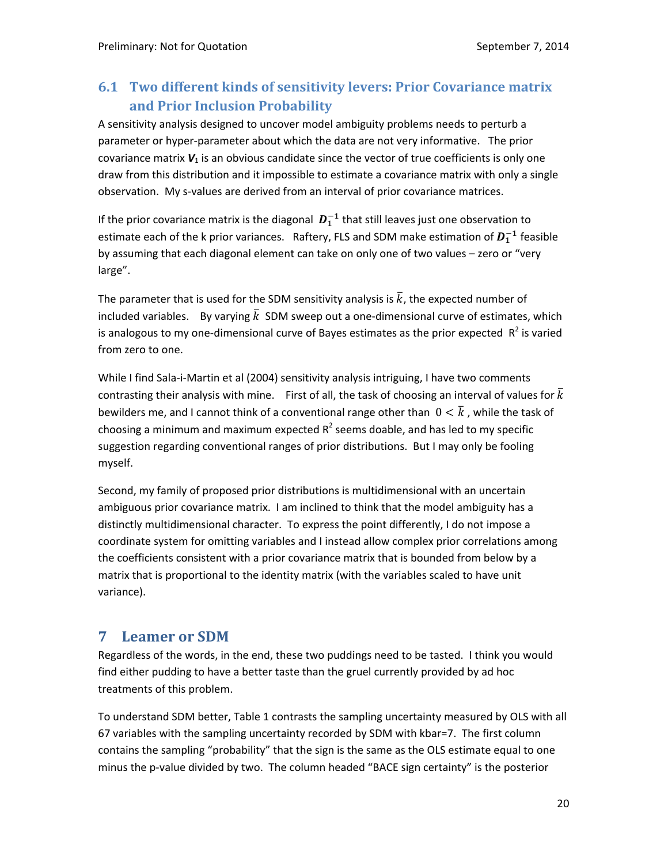# **6.1 Two different kinds of sensitivity levers: Prior Covariance matrix and Prior Inclusion Probability**

A sensitivity analysis designed to uncover model ambiguity problems needs to perturb a parameter or hyper‐parameter about which the data are not very informative. The prior covariance matrix  $V_1$  is an obvious candidate since the vector of true coefficients is only one draw from this distribution and it impossible to estimate a covariance matrix with only a single observation. My s-values are derived from an interval of prior covariance matrices.

If the prior covariance matrix is the diagonal  $\,bm{D}_1^{-1}$  that still leaves just one observation to estimate each of the k prior variances. Raftery, FLS and SDM make estimation of  $\boldsymbol{D}_1^{-1}$  feasible by assuming that each diagonal element can take on only one of two values – zero or "very large".

The parameter that is used for the SDM sensitivity analysis is  $\bar{k}$ , the expected number of included variables. By varying  $\bar{k}$  SDM sweep out a one-dimensional curve of estimates, which is analogous to my one-dimensional curve of Bayes estimates as the prior expected  $R^2$  is varied from zero to one.

While I find Sala‐i‐Martin et al (2004) sensitivity analysis intriguing, I have two comments contrasting their analysis with mine. First of all, the task of choosing an interval of values for  $\bar{k}$ bewilders me, and I cannot think of a conventional range other than  $0<\bar{k}$  , while the task of choosing a minimum and maximum expected  $R^2$  seems doable, and has led to my specific suggestion regarding conventional ranges of prior distributions. But I may only be fooling myself.

Second, my family of proposed prior distributions is multidimensional with an uncertain ambiguous prior covariance matrix. I am inclined to think that the model ambiguity has a distinctly multidimensional character. To express the point differently, I do not impose a coordinate system for omitting variables and I instead allow complex prior correlations among the coefficients consistent with a prior covariance matrix that is bounded from below by a matrix that is proportional to the identity matrix (with the variables scaled to have unit variance).

### **7 Leamer or SDM**

Regardless of the words, in the end, these two puddings need to be tasted. I think you would find either pudding to have a better taste than the gruel currently provided by ad hoc treatments of this problem.

To understand SDM better, Table 1 contrasts the sampling uncertainty measured by OLS with all 67 variables with the sampling uncertainty recorded by SDM with kbar=7. The first column contains the sampling "probability" that the sign is the same as the OLS estimate equal to one minus the p-value divided by two. The column headed "BACE sign certainty" is the posterior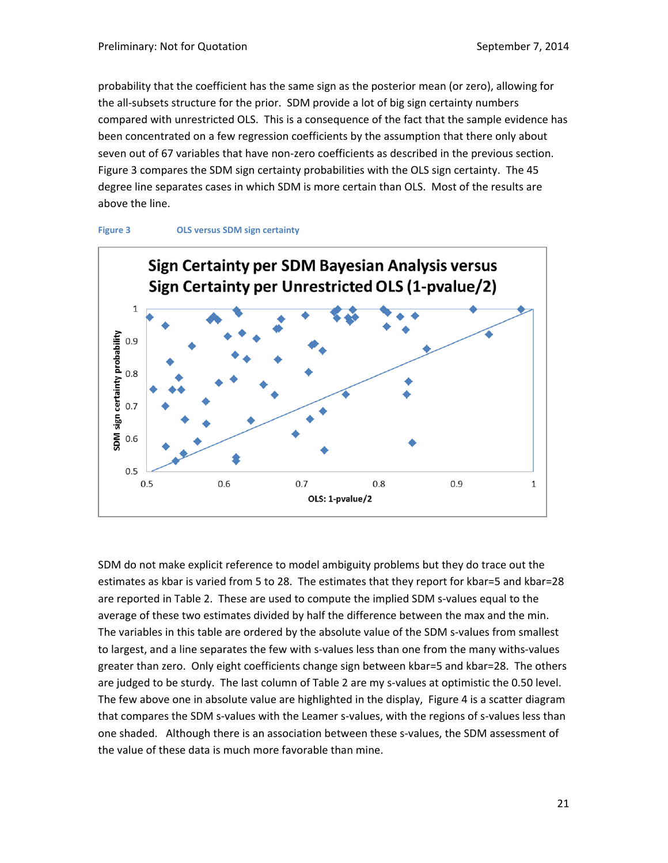probability that the coefficient has the same sign as the posterior mean (or zero), allowing for the all‐subsets structure for the prior. SDM provide a lot of big sign certainty numbers compared with unrestricted OLS. This is a consequence of the fact that the sample evidence has been concentrated on a few regression coefficients by the assumption that there only about seven out of 67 variables that have non-zero coefficients as described in the previous section. Figure 3 compares the SDM sign certainty probabilities with the OLS sign certainty. The 45 degree line separates cases in which SDM is more certain than OLS. Most of the results are above the line.





SDM do not make explicit reference to model ambiguity problems but they do trace out the estimates as kbar is varied from 5 to 28. The estimates that they report for kbar=5 and kbar=28 are reported in Table 2. These are used to compute the implied SDM s-values equal to the average of these two estimates divided by half the difference between the max and the min. The variables in this table are ordered by the absolute value of the SDM s-values from smallest to largest, and a line separates the few with s-values less than one from the many withs-values greater than zero. Only eight coefficients change sign between kbar=5 and kbar=28. The others are judged to be sturdy. The last column of Table 2 are my s-values at optimistic the 0.50 level. The few above one in absolute value are highlighted in the display, Figure 4 is a scatter diagram that compares the SDM s-values with the Leamer s-values, with the regions of s-values less than one shaded. Although there is an association between these s-values, the SDM assessment of the value of these data is much more favorable than mine.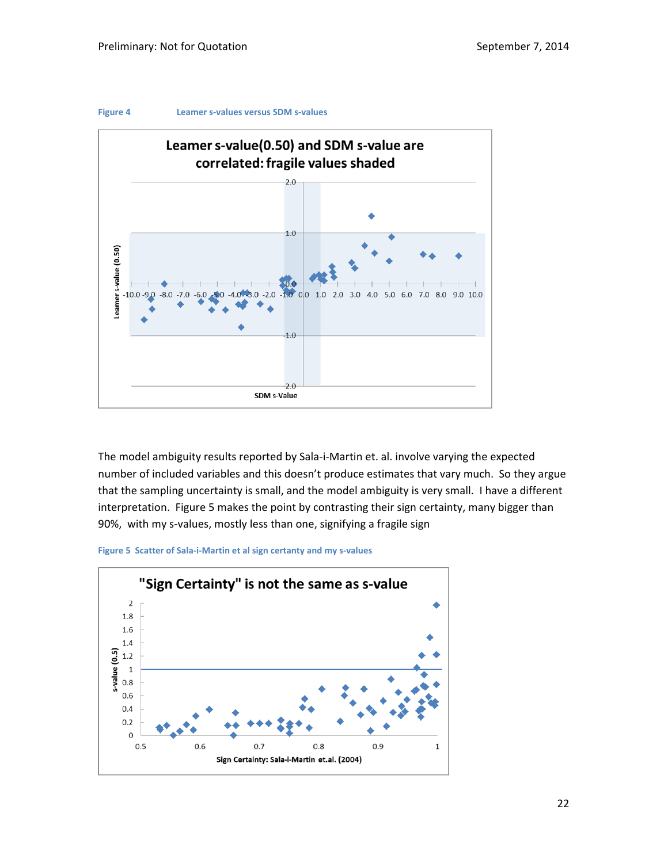



The model ambiguity results reported by Sala‐i‐Martin et. al. involve varying the expected number of included variables and this doesn't produce estimates that vary much. So they argue that the sampling uncertainty is small, and the model ambiguity is very small. I have a different interpretation. Figure 5 makes the point by contrasting their sign certainty, many bigger than 90%, with my s-values, mostly less than one, signifying a fragile sign



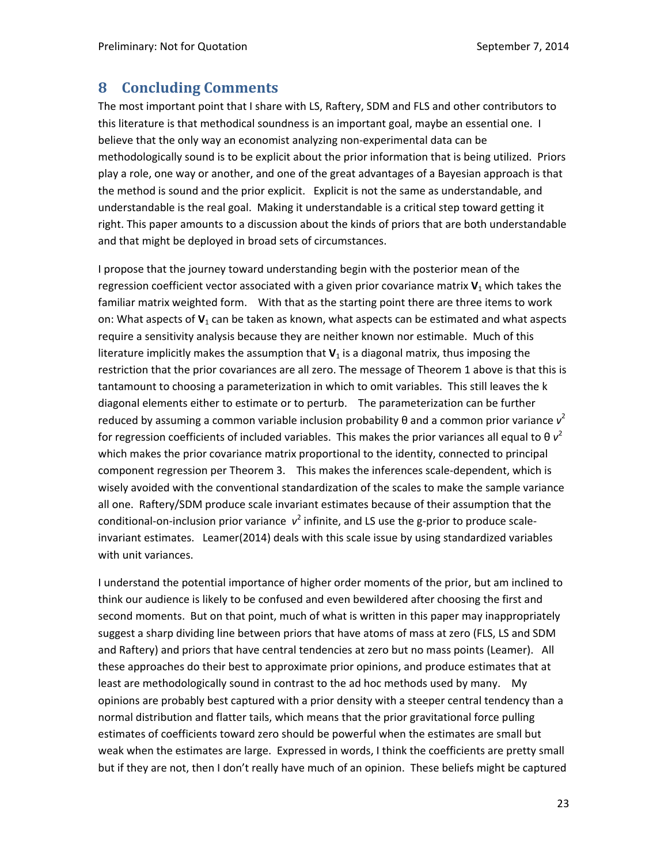### **8 Concluding Comments**

The most important point that I share with LS, Raftery, SDM and FLS and other contributors to this literature is that methodical soundness is an important goal, maybe an essential one. I believe that the only way an economist analyzing non‐experimental data can be methodologically sound is to be explicit about the prior information that is being utilized. Priors play a role, one way or another, and one of the great advantages of a Bayesian approach is that the method is sound and the prior explicit. Explicit is not the same as understandable, and understandable is the real goal. Making it understandable is a critical step toward getting it right. This paper amounts to a discussion about the kinds of priors that are both understandable and that might be deployed in broad sets of circumstances.

I propose that the journey toward understanding begin with the posterior mean of the regression coefficient vector associated with a given prior covariance matrix  $V_1$  which takes the familiar matrix weighted form. With that as the starting point there are three items to work on: What aspects of **V**<sup>1</sup> can be taken as known, what aspects can be estimated and what aspects require a sensitivity analysis because they are neither known nor estimable. Much of this literature implicitly makes the assumption that  $V_1$  is a diagonal matrix, thus imposing the restriction that the prior covariances are all zero. The message of Theorem 1 above is that this is tantamount to choosing a parameterization in which to omit variables. This still leaves the k diagonal elements either to estimate or to perturb. The parameterization can be further reduced by assuming a common variable inclusion probability θ and a common prior variance *v* 2 for regression coefficients of included variables. This makes the prior variances all equal to  $\theta$   $v^2$ which makes the prior covariance matrix proportional to the identity, connected to principal component regression per Theorem 3. This makes the inferences scale-dependent, which is wisely avoided with the conventional standardization of the scales to make the sample variance all one. Raftery/SDM produce scale invariant estimates because of their assumption that the conditional-on-inclusion prior variance  $v^2$  infinite, and LS use the g-prior to produce scaleinvariant estimates. Leamer(2014) deals with this scale issue by using standardized variables with unit variances.

I understand the potential importance of higher order moments of the prior, but am inclined to think our audience is likely to be confused and even bewildered after choosing the first and second moments. But on that point, much of what is written in this paper may inappropriately suggest a sharp dividing line between priors that have atoms of mass at zero (FLS, LS and SDM and Raftery) and priors that have central tendencies at zero but no mass points (Leamer). All these approaches do their best to approximate prior opinions, and produce estimates that at least are methodologically sound in contrast to the ad hoc methods used by many. My opinions are probably best captured with a prior density with a steeper central tendency than a normal distribution and flatter tails, which means that the prior gravitational force pulling estimates of coefficients toward zero should be powerful when the estimates are small but weak when the estimates are large. Expressed in words, I think the coefficients are pretty small but if they are not, then I don't really have much of an opinion. These beliefs might be captured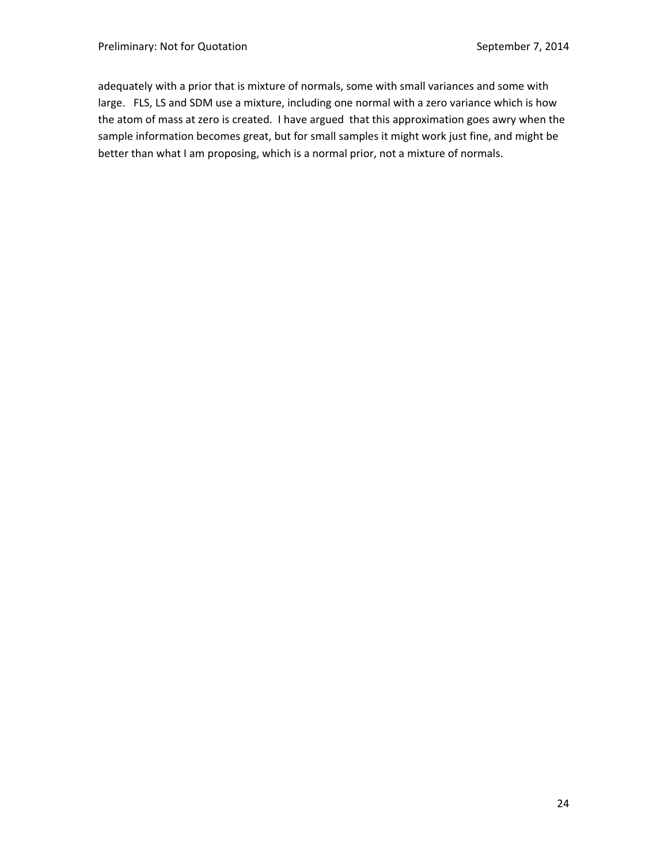adequately with a prior that is mixture of normals, some with small variances and some with large. FLS, LS and SDM use a mixture, including one normal with a zero variance which is how the atom of mass at zero is created. I have argued that this approximation goes awry when the sample information becomes great, but for small samples it might work just fine, and might be better than what I am proposing, which is a normal prior, not a mixture of normals.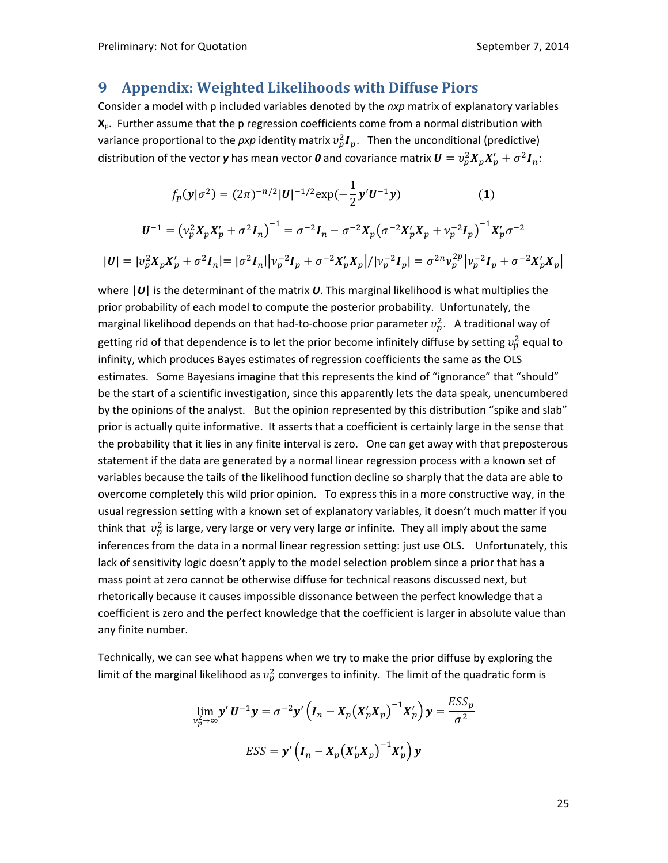#### **9 Appendix: Weighted Likelihoods with Diffuse Piors**

Consider a model with p included variables denoted by the *nxp* matrix of explanatory variables **X**p. Further assume that the p regression coefficients come from a normal distribution with variance proportional to the *pxp* identity matrix  $v_p^2 I_p$ . Then the unconditional (predictive) distribution of the vector **y** has mean vector **0** and covariance matrix  $\bm{U}=v_p^2\bm{X}_p\bm{X}_p' + \sigma^2\bm{I}_n$ :

$$
f_p(\mathbf{y}|\sigma^2) = (2\pi)^{-n/2} |\mathbf{U}|^{-1/2} \exp(-\frac{1}{2}\mathbf{y}'\mathbf{U}^{-1}\mathbf{y})
$$
 (1)

$$
U^{-1} = (\nu_p^2 X_p X_p' + \sigma^2 I_n)^{-1} = \sigma^{-2} I_n - \sigma^{-2} X_p (\sigma^{-2} X_p' X_p + \nu_p^{-2} I_p)^{-1} X_p' \sigma^{-2}
$$
  

$$
|U| = |\nu_p^2 X_p X_p' + \sigma^2 I_n| = |\sigma^2 I_n| |\nu_p^{-2} I_p + \sigma^{-2} X_p' X_p| / |\nu_p^{-2} I_p| = \sigma^{2n} \nu_p^{2p} |\nu_p^{-2} I_p + \sigma^{-2} X_p' X_p|
$$

where |*U*| is the determinant of the matrix *U*. This marginal likelihood is what multiplies the prior probability of each model to compute the posterior probability. Unfortunately, the marginal likelihood depends on that had-to-choose prior parameter  $v_p^2$ . A traditional way of getting rid of that dependence is to let the prior become infinitely diffuse by setting  $v_p^2$  equal to infinity, which produces Bayes estimates of regression coefficients the same as the OLS estimates. Some Bayesians imagine that this represents the kind of "ignorance" that "should" be the start of a scientific investigation, since this apparently lets the data speak, unencumbered by the opinions of the analyst. But the opinion represented by this distribution "spike and slab" prior is actually quite informative. It asserts that a coefficient is certainly large in the sense that the probability that it lies in any finite interval is zero. One can get away with that preposterous statement if the data are generated by a normal linear regression process with a known set of variables because the tails of the likelihood function decline so sharply that the data are able to overcome completely this wild prior opinion. To express this in a more constructive way, in the usual regression setting with a known set of explanatory variables, it doesn't much matter if you think that  $\,v^2_p$  is large, very large or very very large or infinite. They all imply about the same inferences from the data in a normal linear regression setting: just use OLS. Unfortunately, this lack of sensitivity logic doesn't apply to the model selection problem since a prior that has a mass point at zero cannot be otherwise diffuse for technical reasons discussed next, but rhetorically because it causes impossible dissonance between the perfect knowledge that a coefficient is zero and the perfect knowledge that the coefficient is larger in absolute value than any finite number.

Technically, we can see what happens when we try to make the prior diffuse by exploring the limit of the marginal likelihood as  $v_p^2$  converges to infinity. The limit of the quadratic form is

$$
\lim_{\nu_p^2 \to \infty} \mathbf{y}' \mathbf{U}^{-1} \mathbf{y} = \sigma^{-2} \mathbf{y}' \left( \mathbf{I}_n - \mathbf{X}_p (\mathbf{X}_p' \mathbf{X}_p)^{-1} \mathbf{X}_p' \right) \mathbf{y} = \frac{ESS_p}{\sigma^2}
$$
  
ESS =  $\mathbf{y}' \left( \mathbf{I}_n - \mathbf{X}_p (\mathbf{X}_p' \mathbf{X}_p)^{-1} \mathbf{X}_p' \right) \mathbf{y}$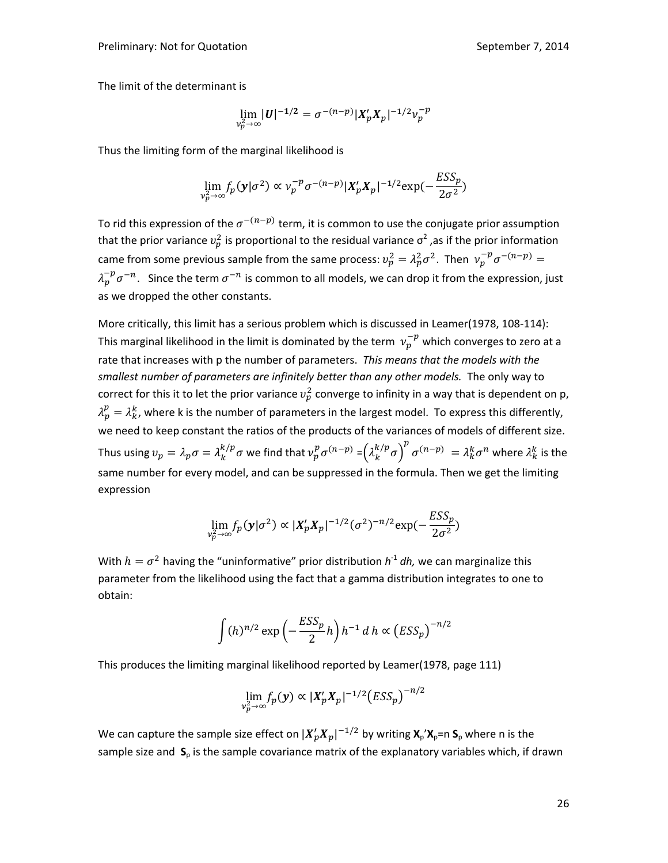The limit of the determinant is

$$
\lim_{\nu_p^2\to\infty}|U|^{-1/2}=\sigma^{-(n-p)}|X'_pX_p|^{-1/2}\nu_p^{-p}
$$

Thus the limiting form of the marginal likelihood is

$$
\lim_{\nu_p^2 \to \infty} f_p(\mathbf{y}|\sigma^2) \propto \nu_p^{-p} \sigma^{-(n-p)} |X'_p X_p|^{-1/2} \exp(-\frac{ESS_p}{2\sigma^2})
$$

To rid this expression of the  $\sigma^{-(n-p)}$  term, it is common to use the conjugate prior assumption that the prior variance  $v_p^2$  is proportional to the residual variance  $\sigma^2$  ,as if the prior information came from some previous sample from the same process:  $v_p^2 = \lambda_p^2 \sigma^2$ . Then  $v_p^{-p} \sigma^{-(n-p)} =$  $\lambda_p^{-p}\sigma^{-n}.~$  Since the term  $\sigma^{-n}$  is common to all models, we can drop it from the expression, just as we dropped the other constants.

More critically, this limit has a serious problem which is discussed in Leamer(1978, 108-114): This marginal likelihood in the limit is dominated by the term  $\,\nu_{p}^{-p}$  which converges to zero at a rate that increases with p the number of parameters. *This means that the models with the smallest number of parameters are infinitely better than any other models.* The only way to correct for this it to let the prior variance  $v_p^2$  converge to infinity in a way that is dependent on p,  $\lambda_p^p = \lambda_k^k$ , where k is the number of parameters in the largest model. To express this differently, we need to keep constant the ratios of the products of the variances of models of different size. Thus using  $v_p=\lambda_p\sigma=\lambda_k^{k/p}\sigma$  we find that  $v_p^p\sigma^{(n-p)}=\left(\lambda_k^{k/p}\sigma\right)^p\sigma^{(n-p)}\ =\lambda_k^k\sigma^n$  where  $\lambda_k^k$  is the same number for every model, and can be suppressed in the formula. Then we get the limiting expression

$$
\lim_{\nu_p^2 \to \infty} f_p(\mathbf{y}|\sigma^2) \propto |X'_p X_p|^{-1/2} (\sigma^2)^{-n/2} \exp(-\frac{ESS_p}{2\sigma^2})
$$

With  $h = \sigma^2$  having the "uninformative" prior distribution  $h^1$  *dh*, we can marginalize this parameter from the likelihood using the fact that a gamma distribution integrates to one to obtain:

$$
\int (h)^{n/2} \exp\left(-\frac{ESS_p}{2}h\right)h^{-1} dh \propto (ESS_p)^{-n/2}
$$

This produces the limiting marginal likelihood reported by Leamer(1978, page 111)

$$
\lim_{\nu_p^2 \to \infty} f_p(\mathbf{y}) \propto |X'_p X_p|^{-1/2} (ESS_p)^{-n/2}
$$

We can capture the sample size effect on  $|X'_p X_p|^{-1/2}$  by writing  $\mathbf{X}_p$ ' $\mathbf{X}_p$ =n  $\mathbf{S}_p$  where n is the sample size and  $S_p$  is the sample covariance matrix of the explanatory variables which, if drawn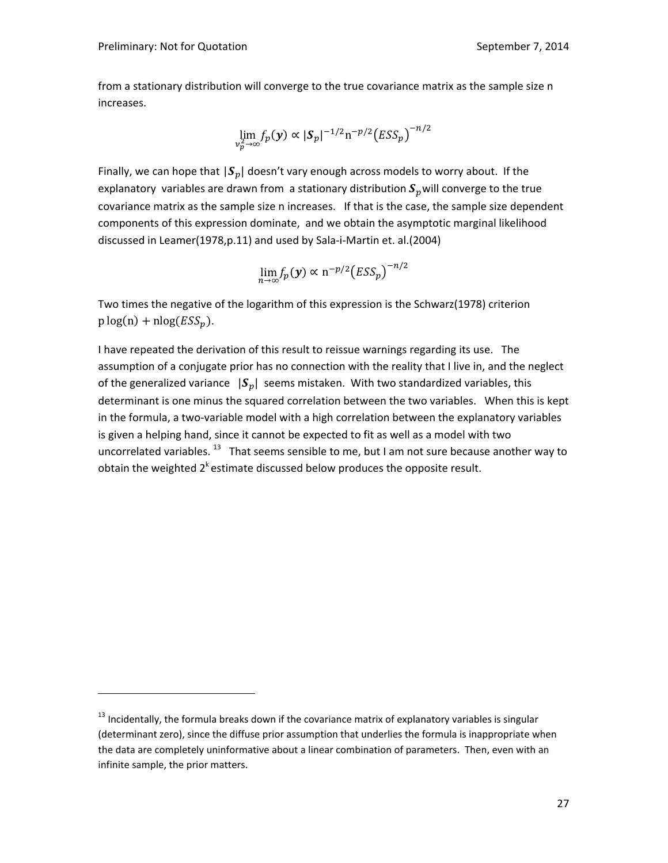from a stationary distribution will converge to the true covariance matrix as the sample size n increases.

$$
\lim_{\nu_p^2 \to \infty} f_p(\mathbf{y}) \propto |\mathbf{S}_p|^{-1/2} \mathrm{n}^{-p/2} \big( ESS_p \big)^{-n/2}
$$

Finally, we can hope that  $|S_p|$  doesn't vary enough across models to worry about. If the explanatory variables are drawn from a stationary distribution  $S_p$  will converge to the true covariance matrix as the sample size n increases. If that is the case, the sample size dependent components of this expression dominate, and we obtain the asymptotic marginal likelihood discussed in Leamer(1978,p.11) and used by Sala‐i‐Martin et. al.(2004)

$$
\lim_{n\to\infty}f_p(\mathbf{y})\propto \mathrm{n}^{-p/2}\big(ESS_p\big)^{-n/2}
$$

Two times the negative of the logarithm of this expression is the Schwarz(1978) criterion  $p log(n) + n log(ESS<sub>n</sub>).$ 

I have repeated the derivation of this result to reissue warnings regarding its use. The assumption of a conjugate prior has no connection with the reality that I live in, and the neglect of the generalized variance  $|S_n|$  seems mistaken. With two standardized variables, this determinant is one minus the squared correlation between the two variables. When this is kept in the formula, a two-variable model with a high correlation between the explanatory variables is given a helping hand, since it cannot be expected to fit as well as a model with two uncorrelated variables.  $^{13}$  That seems sensible to me, but I am not sure because another way to obtain the weighted  $2^k$  estimate discussed below produces the opposite result.

<sup>&</sup>lt;sup>13</sup> Incidentally, the formula breaks down if the covariance matrix of explanatory variables is singular (determinant zero), since the diffuse prior assumption that underlies the formula is inappropriate when the data are completely uninformative about a linear combination of parameters. Then, even with an infinite sample, the prior matters.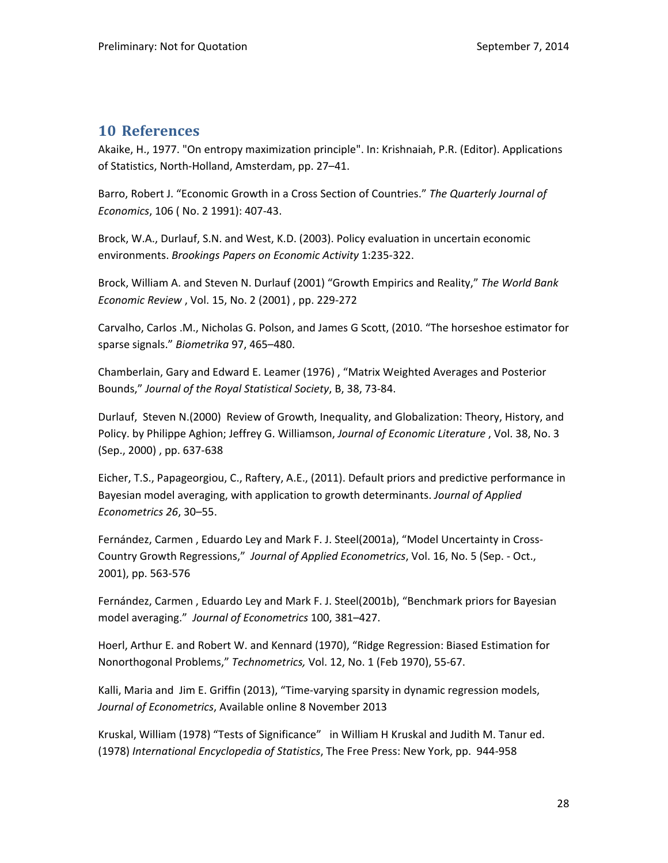# **10 References**

Akaike, H., 1977. "On entropy maximization principle". In: Krishnaiah, P.R. (Editor). Applications of Statistics, North‐Holland, Amsterdam, pp. 27–41.

Barro, Robert J. "Economic Growth in a Cross Section of Countries." *The Quarterly Journal of Economics*, 106 ( No. 2 1991): 407‐43.

Brock, W.A., Durlauf, S.N. and West, K.D. (2003). Policy evaluation in uncertain economic environments. *Brookings Papers on Economic Activity* 1:235‐322.

Brock, William A. and Steven N. Durlauf (2001) "Growth Empirics and Reality," *The World Bank Economic Review* , Vol. 15, No. 2 (2001) , pp. 229‐272

Carvalho, Carlos .M., Nicholas G. Polson, and James G Scott, (2010. "The horseshoe estimator for sparse signals." *Biometrika* 97, 465–480.

Chamberlain, Gary and Edward E. Leamer (1976) , "Matrix Weighted Averages and Posterior Bounds," *Journal of the Royal Statistical Society*, B, 38, 73‐84.

Durlauf, Steven N.(2000) Review of Growth, Inequality, and Globalization: Theory, History, and Policy. by Philippe Aghion; Jeffrey G. Williamson, *Journal of Economic Literature* , Vol. 38, No. 3 (Sep., 2000) , pp. 637‐638

Eicher, T.S., Papageorgiou, C., Raftery, A.E., (2011). Default priors and predictive performance in Bayesian model averaging, with application to growth determinants. *Journal of Applied Econometrics 26*, 30–55.

Fernández, Carmen , Eduardo Ley and Mark F. J. Steel(2001a), "Model Uncertainty in Cross‐ Country Growth Regressions," *Journal of Applied Econometrics*, Vol. 16, No. 5 (Sep. ‐ Oct., 2001), pp. 563‐576

Fernández, Carmen , Eduardo Ley and Mark F. J. Steel(2001b), "Benchmark priors for Bayesian model averaging." *Journal of Econometrics* 100, 381–427.

Hoerl, Arthur E. and Robert W. and Kennard (1970), "Ridge Regression: Biased Estimation for Nonorthogonal Problems," *Technometrics,* Vol. 12, No. 1 (Feb 1970), 55‐67.

Kalli, Maria and Jim E. Griffin (2013), "Time‐varying sparsity in dynamic regression models, *Journal of Econometrics*, Available online 8 November 2013

Kruskal, William (1978) "Tests of Significance" in William H Kruskal and Judith M. Tanur ed. (1978) *International Encyclopedia of Statistics*, The Free Press: New York, pp. 944‐958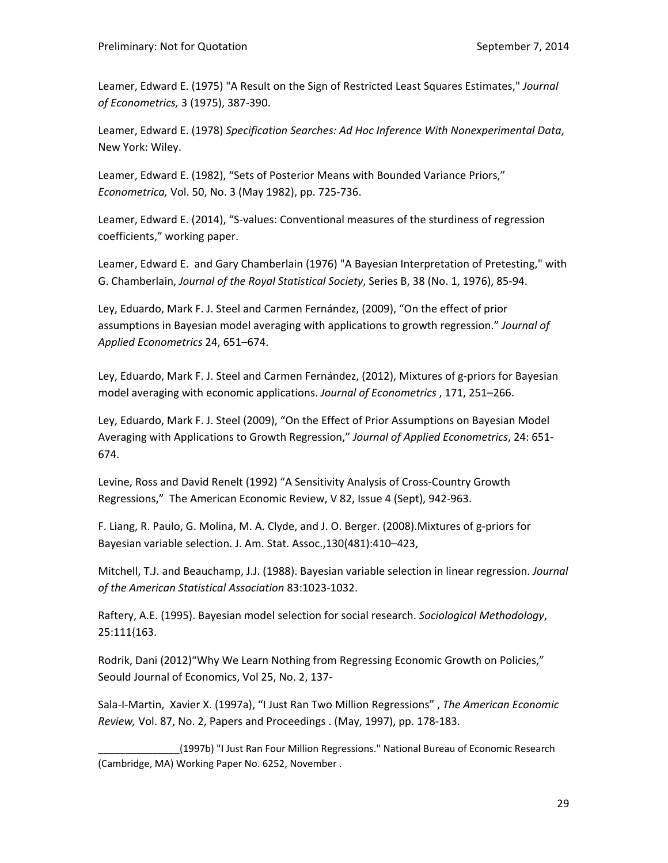Leamer, Edward E. (1975) "A Result on the Sign of Restricted Least Squares Estimates," *Journal of Econometrics,* 3 (1975), 387‐390.

Leamer, Edward E. (1978) *Specification Searches: Ad Hoc Inference With Nonexperimental Data*, New York: Wiley.

Leamer, Edward E. (1982), "Sets of Posterior Means with Bounded Variance Priors," *Econometrica,* Vol. 50, No. 3 (May 1982), pp. 725‐736.

Leamer, Edward E. (2014), "S‐values: Conventional measures of the sturdiness of regression coefficients," working paper.

Leamer, Edward E. and Gary Chamberlain (1976) "A Bayesian Interpretation of Pretesting," with G. Chamberlain, *Journal of the Royal Statistical Society*, Series B, 38 (No. 1, 1976), 85‐94.

Ley, Eduardo, Mark F. J. Steel and Carmen Fernández, (2009), "On the effect of prior assumptions in Bayesian model averaging with applications to growth regression." *Journal of Applied Econometrics* 24, 651–674.

Ley, Eduardo, Mark F. J. Steel and Carmen Fernández, (2012), Mixtures of g‐priors for Bayesian model averaging with economic applications. *Journal of Econometrics* , 171, 251–266.

Ley, Eduardo, Mark F. J. Steel (2009), "On the Effect of Prior Assumptions on Bayesian Model Averaging with Applications to Growth Regression," *Journal of Applied Econometrics*, 24: 651‐ 674.

Levine, Ross and David Renelt (1992) "A Sensitivity Analysis of Cross‐Country Growth Regressions," The American Economic Review, V 82, Issue 4 (Sept), 942‐963.

F. Liang, R. Paulo, G. Molina, M. A. Clyde, and J. O. Berger. (2008).Mixtures of g‐priors for Bayesian variable selection. J. Am. Stat. Assoc.,130(481):410–423,

Mitchell, T.J. and Beauchamp, J.J. (1988). Bayesian variable selection in linear regression. *Journal of the American Statistical Association* 83:1023‐1032.

Raftery, A.E. (1995). Bayesian model selection for social research. *Sociological Methodology*, 25:111{163.

Rodrik, Dani (2012)"Why We Learn Nothing from Regressing Economic Growth on Policies," Seould Journal of Economics, Vol 25, No. 2, 137‐

Sala‐I‐Martin, Xavier X. (1997a), "I Just Ran Two Million Regressions" , *The American Economic Review,* Vol. 87, No. 2, Papers and Proceedings . (May, 1997), pp. 178‐183.

\_\_\_\_\_\_\_\_\_\_\_\_\_\_\_(1997b) "I Just Ran Four Million Regressions." National Bureau of Economic Research (Cambridge, MA) Working Paper No. 6252, November .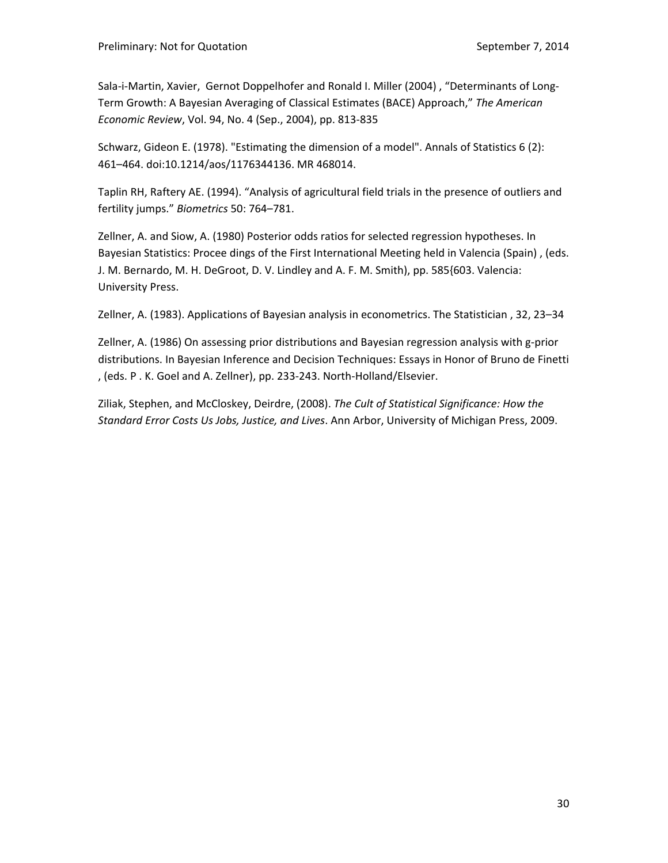Sala-i-Martin, Xavier, Gernot Doppelhofer and Ronald I. Miller (2004), "Determinants of Long-Term Growth: A Bayesian Averaging of Classical Estimates (BACE) Approach," *The American Economic Review*, Vol. 94, No. 4 (Sep., 2004), pp. 813‐835

Schwarz, Gideon E. (1978). "Estimating the dimension of a model". Annals of Statistics 6 (2): 461–464. doi:10.1214/aos/1176344136. MR 468014.

Taplin RH, Raftery AE. (1994). "Analysis of agricultural field trials in the presence of outliers and fertility jumps." *Biometrics* 50: 764–781.

Zellner, A. and Siow, A. (1980) Posterior odds ratios for selected regression hypotheses. In Bayesian Statistics: Procee dings of the First International Meeting held in Valencia (Spain) , (eds. J. M. Bernardo, M. H. DeGroot, D. V. Lindley and A. F. M. Smith), pp. 585{603. Valencia: University Press.

Zellner, A. (1983). Applications of Bayesian analysis in econometrics. The Statistician , 32, 23–34

Zellner, A. (1986) On assessing prior distributions and Bayesian regression analysis with g‐prior distributions. In Bayesian Inference and Decision Techniques: Essays in Honor of Bruno de Finetti , (eds. P . K. Goel and A. Zellner), pp. 233‐243. North‐Holland/Elsevier.

Ziliak, Stephen, and McCloskey, Deirdre, (2008). *The Cult of Statistical Significance: How the Standard Error Costs Us Jobs, Justice, and Lives*. Ann Arbor, University of Michigan Press, 2009.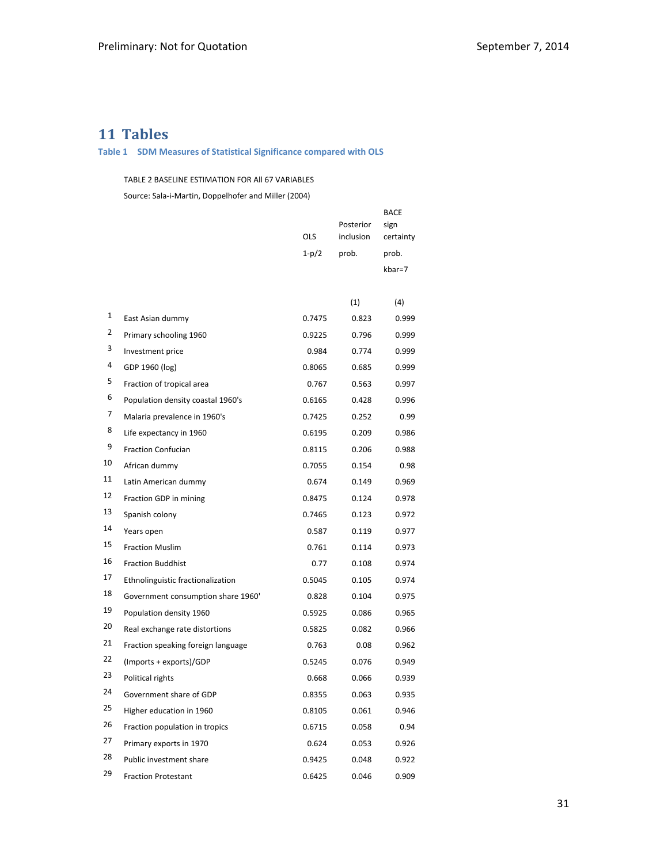# **Tables**

#### **Table 1 SDM Measures of Statistical Significance compared with OLS**

#### TABLE 2 BASELINE ESTIMATION FOR All 67 VARIABLES

Source: Sala‐i‐Martin, Doppelhofer and Miller (2004)

|    |                                    | OLS     | Posterior<br>inclusion | BACE<br>sign<br>certainty |
|----|------------------------------------|---------|------------------------|---------------------------|
|    |                                    | $1-p/2$ | prob.                  | prob.                     |
|    |                                    |         |                        | kbar=7                    |
|    |                                    |         |                        |                           |
|    |                                    |         | (1)                    | (4)                       |
| 1  | East Asian dummy                   | 0.7475  | 0.823                  | 0.999                     |
| 2  | Primary schooling 1960             | 0.9225  | 0.796                  | 0.999                     |
| 3  | Investment price                   | 0.984   | 0.774                  | 0.999                     |
| 4  | GDP 1960 (log)                     | 0.8065  | 0.685                  | 0.999                     |
| 5  | Fraction of tropical area          | 0.767   | 0.563                  | 0.997                     |
| 6  | Population density coastal 1960's  | 0.6165  | 0.428                  | 0.996                     |
| 7  | Malaria prevalence in 1960's       | 0.7425  | 0.252                  | 0.99                      |
| 8  | Life expectancy in 1960            | 0.6195  | 0.209                  | 0.986                     |
| 9  | <b>Fraction Confucian</b>          | 0.8115  | 0.206                  | 0.988                     |
| 10 | African dummy                      | 0.7055  | 0.154                  | 0.98                      |
| 11 | Latin American dummy               | 0.674   | 0.149                  | 0.969                     |
| 12 | Fraction GDP in mining             | 0.8475  | 0.124                  | 0.978                     |
| 13 | Spanish colony                     | 0.7465  | 0.123                  | 0.972                     |
| 14 | Years open                         | 0.587   | 0.119                  | 0.977                     |
| 15 | <b>Fraction Muslim</b>             | 0.761   | 0.114                  | 0.973                     |
| 16 | <b>Fraction Buddhist</b>           | 0.77    | 0.108                  | 0.974                     |
| 17 | Ethnolinguistic fractionalization  | 0.5045  | 0.105                  | 0.974                     |
| 18 | Government consumption share 1960' | 0.828   | 0.104                  | 0.975                     |
| 19 | Population density 1960            | 0.5925  | 0.086                  | 0.965                     |
| 20 | Real exchange rate distortions     | 0.5825  | 0.082                  | 0.966                     |
| 21 | Fraction speaking foreign language | 0.763   | 0.08                   | 0.962                     |
| 22 | (Imports + exports)/GDP            | 0.5245  | 0.076                  | 0.949                     |
| 23 | Political rights                   | 0.668   | 0.066                  | 0.939                     |
| 24 | Government share of GDP            | 0.8355  | 0.063                  | 0.935                     |
| 25 | Higher education in 1960           | 0.8105  | 0.061                  | 0.946                     |
| 26 | Fraction population in tropics     | 0.6715  | 0.058                  | 0.94                      |
| 27 | Primary exports in 1970            | 0.624   | 0.053                  | 0.926                     |
| 28 | Public investment share            | 0.9425  | 0.048                  | 0.922                     |
| 29 | <b>Fraction Protestant</b>         | 0.6425  | 0.046                  | 0.909                     |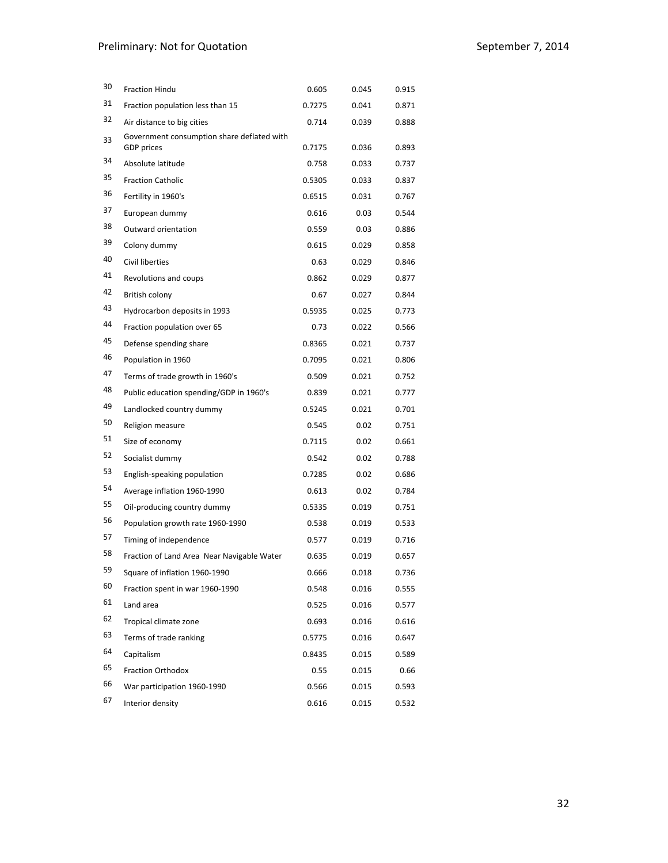# Preliminary: Not for Quotation **by the Contract of September 7, 2014**

| 30 | <b>Fraction Hindu</b>                      | 0.605  | 0.045 | 0.915 |
|----|--------------------------------------------|--------|-------|-------|
| 31 | Fraction population less than 15           | 0.7275 | 0.041 | 0.871 |
| 32 | Air distance to big cities                 | 0.714  | 0.039 | 0.888 |
| 33 | Government consumption share deflated with |        |       |       |
|    | <b>GDP</b> prices                          | 0.7175 | 0.036 | 0.893 |
| 34 | Absolute latitude                          | 0.758  | 0.033 | 0.737 |
| 35 | <b>Fraction Catholic</b>                   | 0.5305 | 0.033 | 0.837 |
| 36 | Fertility in 1960's                        | 0.6515 | 0.031 | 0.767 |
| 37 | European dummy                             | 0.616  | 0.03  | 0.544 |
| 38 | Outward orientation                        | 0.559  | 0.03  | 0.886 |
| 39 | Colony dummy                               | 0.615  | 0.029 | 0.858 |
| 40 | Civil liberties                            | 0.63   | 0.029 | 0.846 |
| 41 | Revolutions and coups                      | 0.862  | 0.029 | 0.877 |
| 42 | British colony                             | 0.67   | 0.027 | 0.844 |
| 43 | Hydrocarbon deposits in 1993               | 0.5935 | 0.025 | 0.773 |
| 44 | Fraction population over 65                | 0.73   | 0.022 | 0.566 |
| 45 | Defense spending share                     | 0.8365 | 0.021 | 0.737 |
| 46 | Population in 1960                         | 0.7095 | 0.021 | 0.806 |
| 47 | Terms of trade growth in 1960's            | 0.509  | 0.021 | 0.752 |
| 48 | Public education spending/GDP in 1960's    | 0.839  | 0.021 | 0.777 |
| 49 | Landlocked country dummy                   | 0.5245 | 0.021 | 0.701 |
| 50 | Religion measure                           | 0.545  | 0.02  | 0.751 |
| 51 | Size of economy                            | 0.7115 | 0.02  | 0.661 |
| 52 | Socialist dummy                            | 0.542  | 0.02  | 0.788 |
| 53 | English-speaking population                | 0.7285 | 0.02  | 0.686 |
| 54 | Average inflation 1960-1990                | 0.613  | 0.02  | 0.784 |
| 55 | Oil-producing country dummy                | 0.5335 | 0.019 | 0.751 |
| 56 | Population growth rate 1960-1990           | 0.538  | 0.019 | 0.533 |
| 57 | Timing of independence                     | 0.577  | 0.019 | 0.716 |
| 58 | Fraction of Land Area Near Navigable Water | 0.635  | 0.019 | 0.657 |
| 59 | Square of inflation 1960-1990              | 0.666  | 0.018 | 0.736 |
| 60 | Fraction spent in war 1960-1990            | 0.548  | 0.016 | 0.555 |
| 61 | Land area                                  | 0.525  | 0.016 | 0.577 |
| 62 | Tropical climate zone                      | 0.693  | 0.016 | 0.616 |
| 63 | Terms of trade ranking                     | 0.5775 | 0.016 | 0.647 |
| 64 | Capitalism                                 | 0.8435 | 0.015 | 0.589 |
| 65 | <b>Fraction Orthodox</b>                   | 0.55   | 0.015 | 0.66  |
| 66 | War participation 1960-1990                | 0.566  | 0.015 | 0.593 |
| 67 | Interior density                           | 0.616  | 0.015 | 0.532 |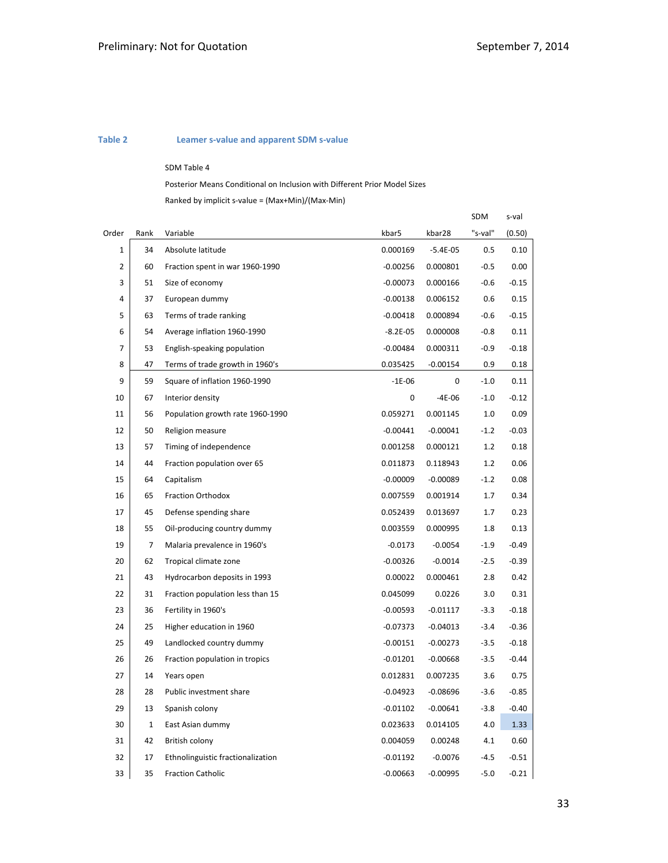### **Table 2 Leamer s‐value and apparent SDM s‐value**

#### SDM Table 4

Posterior Means Conditional on Inclusion with Different Prior Model Sizes

Ranked by implicit s‐value = (Max+Min)/(Max‐Min)

|                |              |                                   |              |            | SDM     | s-val   |
|----------------|--------------|-----------------------------------|--------------|------------|---------|---------|
| Order          | Rank         | Variable                          | kbar5        | kbar28     | "s-val" | (0.50)  |
| 1              | 34           | Absolute latitude                 | 0.000169     | $-5.4E-05$ | 0.5     | 0.10    |
| $\overline{2}$ | 60           | Fraction spent in war 1960-1990   | $-0.00256$   | 0.000801   | $-0.5$  | 0.00    |
| 3              | 51           | Size of economy                   | $-0.00073$   | 0.000166   | $-0.6$  | $-0.15$ |
| 4              | 37           | European dummy                    | $-0.00138$   | 0.006152   | 0.6     | 0.15    |
| 5              | 63           | Terms of trade ranking            | $-0.00418$   | 0.000894   | $-0.6$  | $-0.15$ |
| 6              | 54           | Average inflation 1960-1990       | $-8.2E - 05$ | 0.000008   | $-0.8$  | 0.11    |
| 7              | 53           | English-speaking population       | $-0.00484$   | 0.000311   | $-0.9$  | $-0.18$ |
| 8              | 47           | Terms of trade growth in 1960's   | 0.035425     | $-0.00154$ | 0.9     | 0.18    |
| 9              | 59           | Square of inflation 1960-1990     | $-1E-06$     | 0          | $-1.0$  | 0.11    |
| 10             | 67           | Interior density                  | 0            | $-4E-06$   | $-1.0$  | $-0.12$ |
| 11             | 56           | Population growth rate 1960-1990  | 0.059271     | 0.001145   | 1.0     | 0.09    |
| 12             | 50           | Religion measure                  | $-0.00441$   | $-0.00041$ | $-1.2$  | $-0.03$ |
| 13             | 57           | Timing of independence            | 0.001258     | 0.000121   | 1.2     | 0.18    |
| 14             | 44           | Fraction population over 65       | 0.011873     | 0.118943   | 1.2     | 0.06    |
| 15             | 64           | Capitalism                        | $-0.00009$   | $-0.00089$ | $-1.2$  | 0.08    |
| 16             | 65           | Fraction Orthodox                 | 0.007559     | 0.001914   | 1.7     | 0.34    |
| 17             | 45           | Defense spending share            | 0.052439     | 0.013697   | 1.7     | 0.23    |
| 18             | 55           | Oil-producing country dummy       | 0.003559     | 0.000995   | 1.8     | 0.13    |
| 19             | 7            | Malaria prevalence in 1960's      | $-0.0173$    | $-0.0054$  | $-1.9$  | $-0.49$ |
| 20             | 62           | Tropical climate zone             | $-0.00326$   | $-0.0014$  | $-2.5$  | $-0.39$ |
| 21             | 43           | Hydrocarbon deposits in 1993      | 0.00022      | 0.000461   | 2.8     | 0.42    |
| 22             | 31           | Fraction population less than 15  | 0.045099     | 0.0226     | 3.0     | 0.31    |
| 23             | 36           | Fertility in 1960's               | $-0.00593$   | $-0.01117$ | $-3.3$  | $-0.18$ |
| 24             | 25           | Higher education in 1960          | $-0.07373$   | $-0.04013$ | $-3.4$  | $-0.36$ |
| 25             | 49           | Landlocked country dummy          | $-0.00151$   | $-0.00273$ | $-3.5$  | $-0.18$ |
| 26             | 26           | Fraction population in tropics    | $-0.01201$   | $-0.00668$ | $-3.5$  | $-0.44$ |
| 27             | 14           | Years open                        | 0.012831     | 0.007235   | 3.6     | 0.75    |
| 28             | 28           | Public investment share           | $-0.04923$   | $-0.08696$ | $-3.6$  | $-0.85$ |
| 29             | 13           | Spanish colony                    | $-0.01102$   | $-0.00641$ | $-3.8$  | $-0.40$ |
| 30             | $\mathbf{1}$ | East Asian dummy                  | 0.023633     | 0.014105   | 4.0     | 1.33    |
| 31             | 42           | British colony                    | 0.004059     | 0.00248    | 4.1     | 0.60    |
| 32             | 17           | Ethnolinguistic fractionalization | $-0.01192$   | $-0.0076$  | $-4.5$  | $-0.51$ |
| 33             | 35           | <b>Fraction Catholic</b>          | $-0.00663$   | $-0.00995$ | $-5.0$  | $-0.21$ |